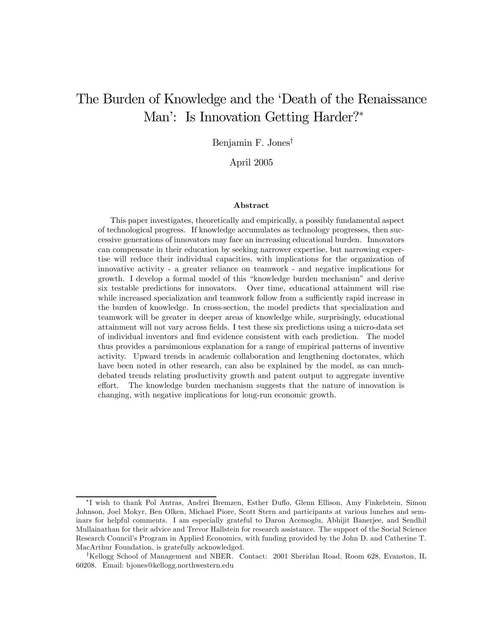# The Burden of Knowledge and the 'Death of the Renaissance Man': Is Innovation Getting Harder?<sup>∗</sup>

Benjamin F. Jones†

April 2005

#### Abstract

This paper investigates, theoretically and empirically, a possibly fundamental aspect of technological progress. If knowledge accumulates as technology progresses, then successive generations of innovators may face an increasing educational burden. Innovators can compensate in their education by seeking narrower expertise, but narrowing expertise will reduce their individual capacities, with implications for the organization of innovative activity - a greater reliance on teamwork - and negative implications for growth. I develop a formal model of this "knowledge burden mechanism" and derive six testable predictions for innovators. Over time, educational attainment will rise while increased specialization and teamwork follow from a sufficiently rapid increase in the burden of knowledge. In cross-section, the model predicts that specialization and teamwork will be greater in deeper areas of knowledge while, surprisingly, educational attainment will not vary across fields. I test these six predictions using a micro-data set of individual inventors and find evidence consistent with each prediction. The model thus provides a parsimonious explanation for a range of empirical patterns of inventive activity. Upward trends in academic collaboration and lengthening doctorates, which have been noted in other research, can also be explained by the model, as can muchdebated trends relating productivity growth and patent output to aggregate inventive effort. The knowledge burden mechanism suggests that the nature of innovation is changing, with negative implications for long-run economic growth.

<sup>∗</sup>I wish to thank Pol Antras, Andrei Bremzen, Esther Duflo, Glenn Ellison, Amy Finkelstein, Simon Johnson, Joel Mokyr, Ben Olken, Michael Piore, Scott Stern and participants at various lunches and seminars for helpful comments. I am especially grateful to Daron Acemoglu, Abhijit Banerjee, and Sendhil Mullainathan for their advice and Trevor Hallstein for research assistance. The support of the Social Science Research Council's Program in Applied Economics, with funding provided by the John D. and Catherine T. MacArthur Foundation, is gratefully acknowledged.

<sup>†</sup>Kellogg School of Management and NBER. Contact: 2001 Sheridan Road, Room 628, Evanston, IL 60208. Email: bjones@kellogg.northwestern.edu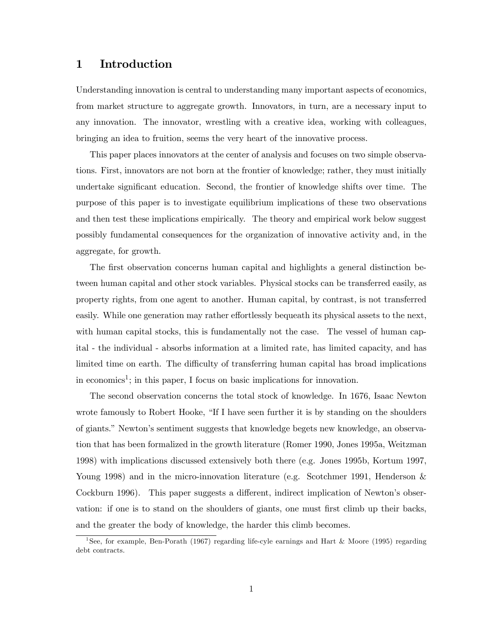# 1 Introduction

Understanding innovation is central to understanding many important aspects of economics, from market structure to aggregate growth. Innovators, in turn, are a necessary input to any innovation. The innovator, wrestling with a creative idea, working with colleagues, bringing an idea to fruition, seems the very heart of the innovative process.

This paper places innovators at the center of analysis and focuses on two simple observations. First, innovators are not born at the frontier of knowledge; rather, they must initially undertake significant education. Second, the frontier of knowledge shifts over time. The purpose of this paper is to investigate equilibrium implications of these two observations and then test these implications empirically. The theory and empirical work below suggest possibly fundamental consequences for the organization of innovative activity and, in the aggregate, for growth.

The first observation concerns human capital and highlights a general distinction between human capital and other stock variables. Physical stocks can be transferred easily, as property rights, from one agent to another. Human capital, by contrast, is not transferred easily. While one generation may rather effortlessly bequeath its physical assets to the next, with human capital stocks, this is fundamentally not the case. The vessel of human capital - the individual - absorbs information at a limited rate, has limited capacity, and has limited time on earth. The difficulty of transferring human capital has broad implications in economics<sup>1</sup>; in this paper, I focus on basic implications for innovation.

The second observation concerns the total stock of knowledge. In 1676, Isaac Newton wrote famously to Robert Hooke, "If I have seen further it is by standing on the shoulders of giants." Newton's sentiment suggests that knowledge begets new knowledge, an observation that has been formalized in the growth literature (Romer 1990, Jones 1995a, Weitzman 1998) with implications discussed extensively both there (e.g. Jones 1995b, Kortum 1997, Young 1998) and in the micro-innovation literature (e.g. Scotchmer 1991, Henderson & Cockburn 1996). This paper suggests a different, indirect implication of Newton's observation: if one is to stand on the shoulders of giants, one must first climb up their backs, and the greater the body of knowledge, the harder this climb becomes.

<sup>&</sup>lt;sup>1</sup>See, for example, Ben-Porath (1967) regarding life-cyle earnings and Hart & Moore (1995) regarding debt contracts.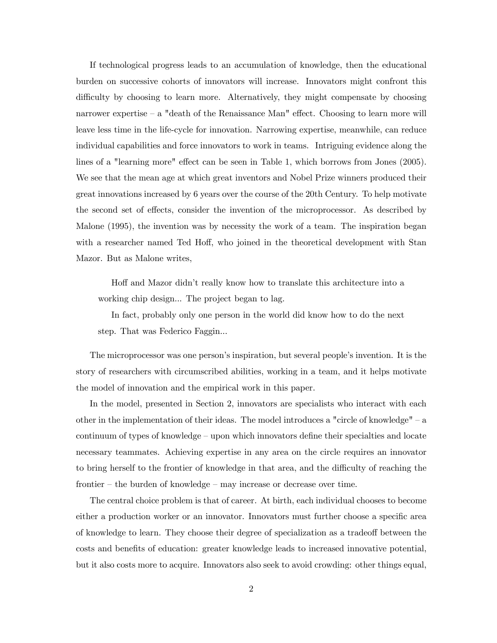If technological progress leads to an accumulation of knowledge, then the educational burden on successive cohorts of innovators will increase. Innovators might confront this difficulty by choosing to learn more. Alternatively, they might compensate by choosing narrower expertise — a "death of the Renaissance Man" effect. Choosing to learn more will leave less time in the life-cycle for innovation. Narrowing expertise, meanwhile, can reduce individual capabilities and force innovators to work in teams. Intriguing evidence along the lines of a "learning more" effect can be seen in Table 1, which borrows from Jones (2005). We see that the mean age at which great inventors and Nobel Prize winners produced their great innovations increased by 6 years over the course of the 20th Century. To help motivate the second set of effects, consider the invention of the microprocessor. As described by Malone (1995), the invention was by necessity the work of a team. The inspiration began with a researcher named Ted Hoff, who joined in the theoretical development with Stan Mazor. But as Malone writes,

Hoff and Mazor didn't really know how to translate this architecture into a working chip design... The project began to lag.

In fact, probably only one person in the world did know how to do the next step. That was Federico Faggin...

The microprocessor was one person's inspiration, but several people's invention. It is the story of researchers with circumscribed abilities, working in a team, and it helps motivate the model of innovation and the empirical work in this paper.

In the model, presented in Section 2, innovators are specialists who interact with each other in the implementation of their ideas. The model introduces a "circle of knowledge" — a continuum of types of knowledge — upon which innovators define their specialties and locate necessary teammates. Achieving expertise in any area on the circle requires an innovator to bring herself to the frontier of knowledge in that area, and the difficulty of reaching the frontier — the burden of knowledge — may increase or decrease over time.

The central choice problem is that of career. At birth, each individual chooses to become either a production worker or an innovator. Innovators must further choose a specific area of knowledge to learn. They choose their degree of specialization as a tradeoff between the costs and benefits of education: greater knowledge leads to increased innovative potential, but it also costs more to acquire. Innovators also seek to avoid crowding: other things equal,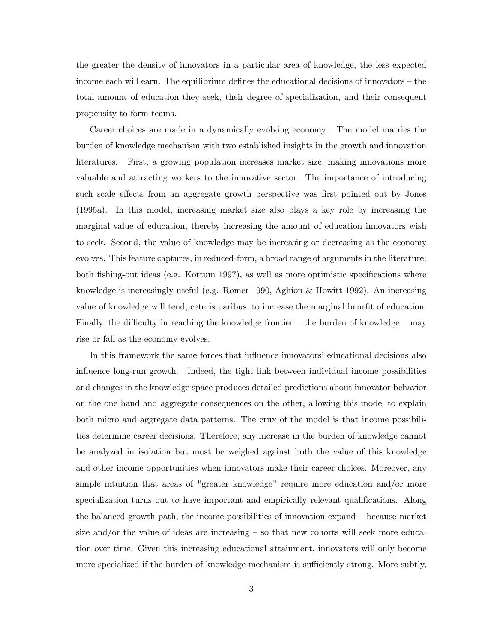the greater the density of innovators in a particular area of knowledge, the less expected income each will earn. The equilibrium defines the educational decisions of innovators — the total amount of education they seek, their degree of specialization, and their consequent propensity to form teams.

Career choices are made in a dynamically evolving economy. The model marries the burden of knowledge mechanism with two established insights in the growth and innovation literatures. First, a growing population increases market size, making innovations more valuable and attracting workers to the innovative sector. The importance of introducing such scale effects from an aggregate growth perspective was first pointed out by Jones (1995a). In this model, increasing market size also plays a key role by increasing the marginal value of education, thereby increasing the amount of education innovators wish to seek. Second, the value of knowledge may be increasing or decreasing as the economy evolves. This feature captures, in reduced-form, a broad range of arguments in the literature: both fishing-out ideas (e.g. Kortum 1997), as well as more optimistic specifications where knowledge is increasingly useful (e.g. Romer 1990, Aghion & Howitt 1992). An increasing value of knowledge will tend, ceteris paribus, to increase the marginal benefit of education. Finally, the difficulty in reaching the knowledge frontier – the burden of knowledge – may rise or fall as the economy evolves.

In this framework the same forces that influence innovators' educational decisions also influence long-run growth. Indeed, the tight link between individual income possibilities and changes in the knowledge space produces detailed predictions about innovator behavior on the one hand and aggregate consequences on the other, allowing this model to explain both micro and aggregate data patterns. The crux of the model is that income possibilities determine career decisions. Therefore, any increase in the burden of knowledge cannot be analyzed in isolation but must be weighed against both the value of this knowledge and other income opportunities when innovators make their career choices. Moreover, any simple intuition that areas of "greater knowledge" require more education and/or more specialization turns out to have important and empirically relevant qualifications. Along the balanced growth path, the income possibilities of innovation expand — because market size and/or the value of ideas are increasing  $-$  so that new cohorts will seek more education over time. Given this increasing educational attainment, innovators will only become more specialized if the burden of knowledge mechanism is sufficiently strong. More subtly,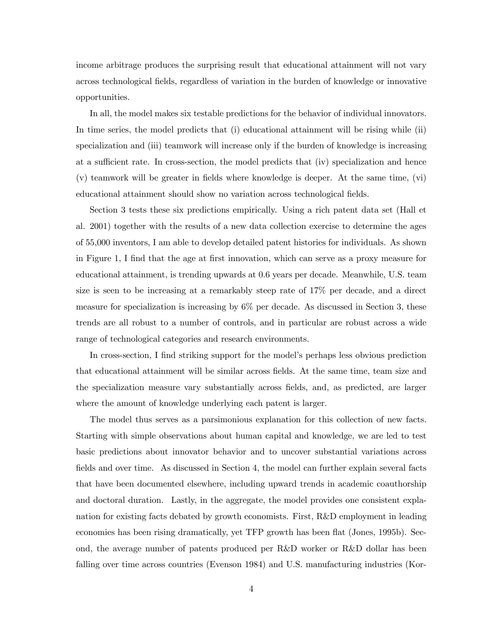income arbitrage produces the surprising result that educational attainment will not vary across technological fields, regardless of variation in the burden of knowledge or innovative opportunities.

In all, the model makes six testable predictions for the behavior of individual innovators. In time series, the model predicts that (i) educational attainment will be rising while (ii) specialization and (iii) teamwork will increase only if the burden of knowledge is increasing at a sufficient rate. In cross-section, the model predicts that (iv) specialization and hence (v) teamwork will be greater in fields where knowledge is deeper. At the same time, (vi) educational attainment should show no variation across technological fields.

Section 3 tests these six predictions empirically. Using a rich patent data set (Hall et al. 2001) together with the results of a new data collection exercise to determine the ages of 55,000 inventors, I am able to develop detailed patent histories for individuals. As shown in Figure 1, I find that the age at first innovation, which can serve as a proxy measure for educational attainment, is trending upwards at 0.6 years per decade. Meanwhile, U.S. team size is seen to be increasing at a remarkably steep rate of 17% per decade, and a direct measure for specialization is increasing by 6% per decade. As discussed in Section 3, these trends are all robust to a number of controls, and in particular are robust across a wide range of technological categories and research environments.

In cross-section, I find striking support for the model's perhaps less obvious prediction that educational attainment will be similar across fields. At the same time, team size and the specialization measure vary substantially across fields, and, as predicted, are larger where the amount of knowledge underlying each patent is larger.

The model thus serves as a parsimonious explanation for this collection of new facts. Starting with simple observations about human capital and knowledge, we are led to test basic predictions about innovator behavior and to uncover substantial variations across fields and over time. As discussed in Section 4, the model can further explain several facts that have been documented elsewhere, including upward trends in academic coauthorship and doctoral duration. Lastly, in the aggregate, the model provides one consistent explanation for existing facts debated by growth economists. First, R&D employment in leading economies has been rising dramatically, yet TFP growth has been flat (Jones, 1995b). Second, the average number of patents produced per R&D worker or R&D dollar has been falling over time across countries (Evenson 1984) and U.S. manufacturing industries (Kor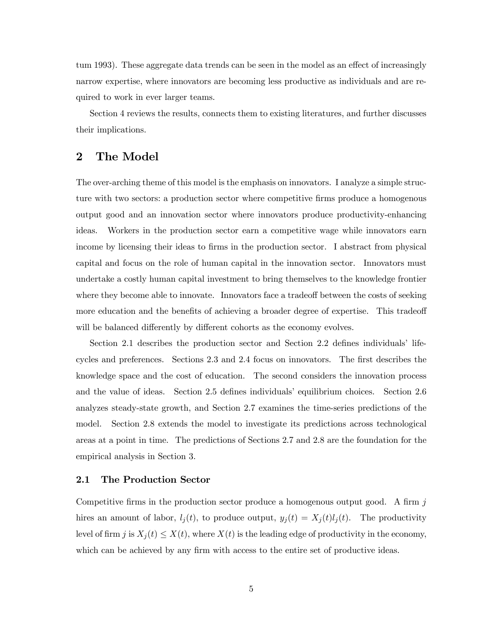tum 1993). These aggregate data trends can be seen in the model as an effect of increasingly narrow expertise, where innovators are becoming less productive as individuals and are required to work in ever larger teams.

Section 4 reviews the results, connects them to existing literatures, and further discusses their implications.

# 2 The Model

The over-arching theme of this model is the emphasis on innovators. I analyze a simple structure with two sectors: a production sector where competitive firms produce a homogenous output good and an innovation sector where innovators produce productivity-enhancing ideas. Workers in the production sector earn a competitive wage while innovators earn income by licensing their ideas to firms in the production sector. I abstract from physical capital and focus on the role of human capital in the innovation sector. Innovators must undertake a costly human capital investment to bring themselves to the knowledge frontier where they become able to innovate. Innovators face a tradeoff between the costs of seeking more education and the benefits of achieving a broader degree of expertise. This tradeoff will be balanced differently by different cohorts as the economy evolves.

Section 2.1 describes the production sector and Section 2.2 defines individuals' lifecycles and preferences. Sections 2.3 and 2.4 focus on innovators. The first describes the knowledge space and the cost of education. The second considers the innovation process and the value of ideas. Section 2.5 defines individuals' equilibrium choices. Section 2.6 analyzes steady-state growth, and Section 2.7 examines the time-series predictions of the model. Section 2.8 extends the model to investigate its predictions across technological areas at a point in time. The predictions of Sections 2.7 and 2.8 are the foundation for the empirical analysis in Section 3.

#### 2.1 The Production Sector

Competitive firms in the production sector produce a homogenous output good. A firm  $j$ hires an amount of labor,  $l_j(t)$ , to produce output,  $y_j(t) = X_j(t)l_j(t)$ . The productivity level of firm j is  $X_j(t) \leq X(t)$ , where  $X(t)$  is the leading edge of productivity in the economy, which can be achieved by any firm with access to the entire set of productive ideas.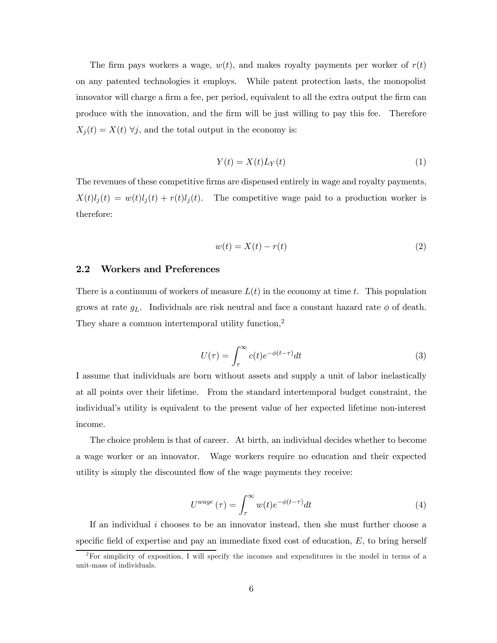The firm pays workers a wage,  $w(t)$ , and makes royalty payments per worker of  $r(t)$ on any patented technologies it employs. While patent protection lasts, the monopolist innovator will charge a firm a fee, per period, equivalent to all the extra output the firm can produce with the innovation, and the firm will be just willing to pay this fee. Therefore  $X_j(t) = X(t)$   $\forall j$ , and the total output in the economy is:

$$
Y(t) = X(t)L_Y(t)
$$
\n<sup>(1)</sup>

The revenues of these competitive firms are dispensed entirely in wage and royalty payments,  $X(t)l_j(t) = w(t)l_j(t) + r(t)l_j(t)$ . The competitive wage paid to a production worker is therefore:

$$
w(t) = X(t) - r(t)
$$
\n<sup>(2)</sup>

#### 2.2 Workers and Preferences

There is a continuum of workers of measure  $L(t)$  in the economy at time t. This population grows at rate  $g_L$ . Individuals are risk neutral and face a constant hazard rate  $\phi$  of death. They share a common intertemporal utility function,<sup>2</sup>

$$
U(\tau) = \int_{\tau}^{\infty} c(t)e^{-\phi(t-\tau)}dt
$$
\n(3)

I assume that individuals are born without assets and supply a unit of labor inelastically at all points over their lifetime. From the standard intertemporal budget constraint, the individual's utility is equivalent to the present value of her expected lifetime non-interest income.

The choice problem is that of career. At birth, an individual decides whether to become a wage worker or an innovator. Wage workers require no education and their expected utility is simply the discounted flow of the wage payments they receive:

$$
U^{wage}(\tau) = \int_{\tau}^{\infty} w(t)e^{-\phi(t-\tau)}dt
$$
\n(4)

If an individual  $i$  chooses to be an innovator instead, then she must further choose a specific field of expertise and pay an immediate fixed cost of education,  $E$ , to bring herself

<sup>&</sup>lt;sup>2</sup>For simplicity of exposition, I will specify the incomes and expenditures in the model in terms of a unit-mass of individuals.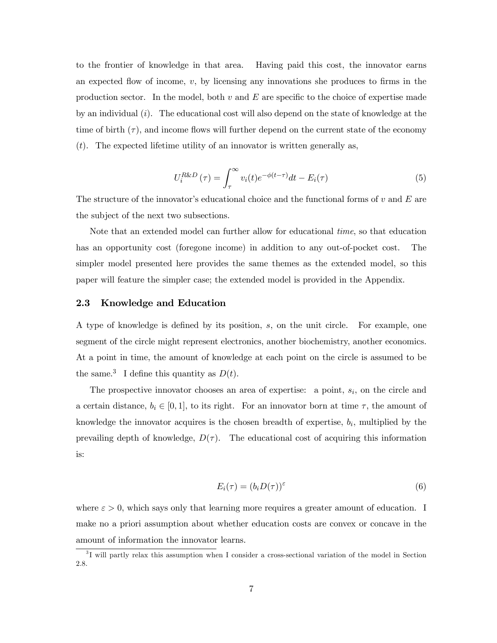to the frontier of knowledge in that area. Having paid this cost, the innovator earns an expected flow of income,  $v$ , by licensing any innovations she produces to firms in the production sector. In the model, both  $v$  and  $E$  are specific to the choice of expertise made by an individual  $(i)$ . The educational cost will also depend on the state of knowledge at the time of birth  $(\tau)$ , and income flows will further depend on the current state of the economy  $(t)$ . The expected lifetime utility of an innovator is written generally as,

$$
U_i^{R\&D}(\tau) = \int_{\tau}^{\infty} v_i(t)e^{-\phi(t-\tau)}dt - E_i(\tau)
$$
\n(5)

The structure of the innovator's educational choice and the functional forms of  $v$  and  $E$  are the subject of the next two subsections.

Note that an extended model can further allow for educational time, so that education has an opportunity cost (foregone income) in addition to any out-of-pocket cost. The simpler model presented here provides the same themes as the extended model, so this paper will feature the simpler case; the extended model is provided in the Appendix.

#### 2.3 Knowledge and Education

A type of knowledge is defined by its position, s, on the unit circle. For example, one segment of the circle might represent electronics, another biochemistry, another economics. At a point in time, the amount of knowledge at each point on the circle is assumed to be the same.<sup>3</sup> I define this quantity as  $D(t)$ .

The prospective innovator chooses an area of expertise: a point,  $s_i$ , on the circle and a certain distance,  $b_i \in [0,1]$ , to its right. For an innovator born at time  $\tau$ , the amount of knowledge the innovator acquires is the chosen breadth of expertise,  $b_i$ , multiplied by the prevailing depth of knowledge,  $D(\tau)$ . The educational cost of acquiring this information is:

$$
E_i(\tau) = (b_i D(\tau))^{\varepsilon} \tag{6}
$$

where  $\varepsilon > 0$ , which says only that learning more requires a greater amount of education. I make no a priori assumption about whether education costs are convex or concave in the amount of information the innovator learns.

<sup>&</sup>lt;sup>3</sup>I will partly relax this assumption when I consider a cross-sectional variation of the model in Section 2.8.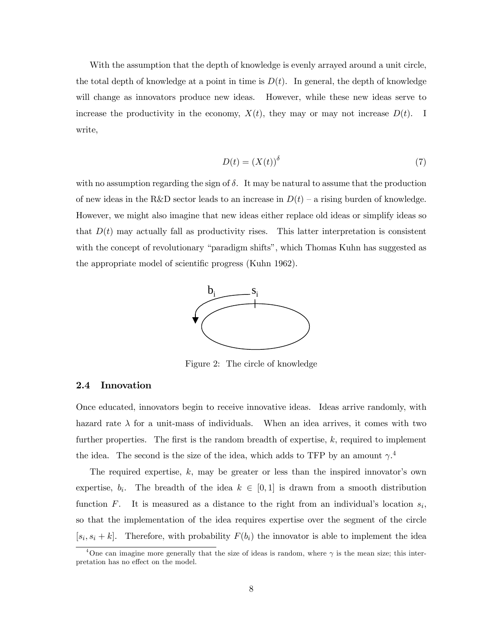With the assumption that the depth of knowledge is evenly arrayed around a unit circle, the total depth of knowledge at a point in time is  $D(t)$ . In general, the depth of knowledge will change as innovators produce new ideas. However, while these new ideas serve to increase the productivity in the economy,  $X(t)$ , they may or may not increase  $D(t)$ . I write,

$$
D(t) = (X(t))^\delta \tag{7}
$$

with no assumption regarding the sign of  $\delta$ . It may be natural to assume that the production of new ideas in the R&D sector leads to an increase in  $D(t)$  – a rising burden of knowledge. However, we might also imagine that new ideas either replace old ideas or simplify ideas so that  $D(t)$  may actually fall as productivity rises. This latter interpretation is consistent with the concept of revolutionary "paradigm shifts", which Thomas Kuhn has suggested as the appropriate model of scientific progress (Kuhn 1962).



Figure 2: The circle of knowledge

#### 2.4 Innovation

Once educated, innovators begin to receive innovative ideas. Ideas arrive randomly, with hazard rate  $\lambda$  for a unit-mass of individuals. When an idea arrives, it comes with two further properties. The first is the random breadth of expertise, k, required to implement the idea. The second is the size of the idea, which adds to TFP by an amount  $\gamma$ <sup>4</sup>

The required expertise, k, may be greater or less than the inspired innovator's own expertise,  $b_i$ . The breadth of the idea  $k \in [0,1]$  is drawn from a smooth distribution function F. It is measured as a distance to the right from an individual's location  $s_i$ , so that the implementation of the idea requires expertise over the segment of the circle  $[s_i, s_i + k]$ . Therefore, with probability  $F(b_i)$  the innovator is able to implement the idea

 $^{4}$ One can imagine more generally that the size of ideas is random, where  $\gamma$  is the mean size; this interpretation has no effect on the model.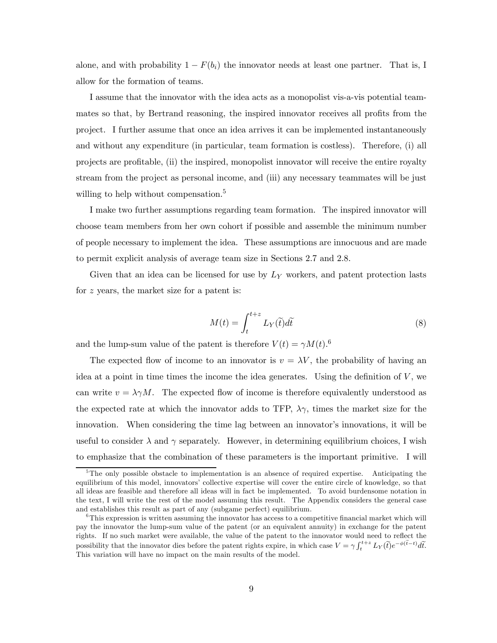alone, and with probability  $1 - F(b_i)$  the innovator needs at least one partner. That is, I allow for the formation of teams.

I assume that the innovator with the idea acts as a monopolist vis-a-vis potential teammates so that, by Bertrand reasoning, the inspired innovator receives all profits from the project. I further assume that once an idea arrives it can be implemented instantaneously and without any expenditure (in particular, team formation is costless). Therefore, (i) all projects are profitable, (ii) the inspired, monopolist innovator will receive the entire royalty stream from the project as personal income, and (iii) any necessary teammates will be just willing to help without compensation.<sup>5</sup>

I make two further assumptions regarding team formation. The inspired innovator will choose team members from her own cohort if possible and assemble the minimum number of people necessary to implement the idea. These assumptions are innocuous and are made to permit explicit analysis of average team size in Sections 2.7 and 2.8.

Given that an idea can be licensed for use by  $L_Y$  workers, and patent protection lasts for z years, the market size for a patent is:

$$
M(t) = \int_{t}^{t+z} L_{Y}(\tilde{t}) d\tilde{t}
$$
\n(8)

and the lump-sum value of the patent is therefore  $V(t) = \gamma M(t).$ <sup>6</sup>

The expected flow of income to an innovator is  $v = \lambda V$ , the probability of having an idea at a point in time times the income the idea generates. Using the definition of  $V$ , we can write  $v = \lambda \gamma M$ . The expected flow of income is therefore equivalently understood as the expected rate at which the innovator adds to TFP,  $\lambda \gamma$ , times the market size for the innovation. When considering the time lag between an innovator's innovations, it will be useful to consider  $\lambda$  and  $\gamma$  separately. However, in determining equilibrium choices, I wish to emphasize that the combination of these parameters is the important primitive. I will

<sup>&</sup>lt;sup>5</sup>The only possible obstacle to implementation is an absence of required expertise. Anticipating the equilibrium of this model, innovators' collective expertise will cover the entire circle of knowledge, so that all ideas are feasible and therefore all ideas will in fact be implemented. To avoid burdensome notation in the text, I will write the rest of the model assuming this result. The Appendix considers the general case and establishes this result as part of any (subgame perfect) equilibrium.

 ${}^{6}$ This expression is written assuming the innovator has access to a competitive financial market which will pay the innovator the lump-sum value of the patent (or an equivalent annuity) in exchange for the patent rights. If no such market were available, the value of the patent to the innovator would need to reflect the possibility that the innovator dies before the patent rights expire, in which case  $V = \gamma \int_t^{t+z} L_Y(\tilde{t}) e^{-\phi(\tilde{t}-t)} d\tilde{t}$ . This variation will have no impact on the main results of the model.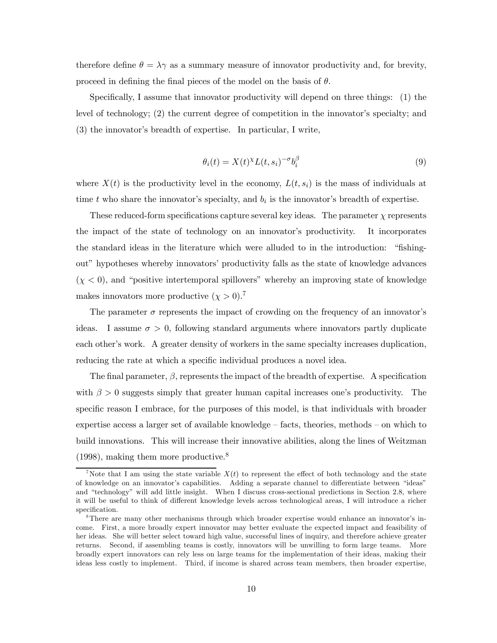therefore define  $\theta = \lambda \gamma$  as a summary measure of innovator productivity and, for brevity, proceed in defining the final pieces of the model on the basis of  $\theta$ .

Specifically, I assume that innovator productivity will depend on three things: (1) the level of technology; (2) the current degree of competition in the innovator's specialty; and (3) the innovator's breadth of expertise. In particular, I write,

$$
\theta_i(t) = X(t)^{\chi} L(t, s_i)^{-\sigma} b_i^{\beta} \tag{9}
$$

where  $X(t)$  is the productivity level in the economy,  $L(t, s_i)$  is the mass of individuals at time t who share the innovator's specialty, and  $b_i$  is the innovator's breadth of expertise.

These reduced-form specifications capture several key ideas. The parameter  $\chi$  represents the impact of the state of technology on an innovator's productivity. It incorporates the standard ideas in the literature which were alluded to in the introduction: "fishingout" hypotheses whereby innovators' productivity falls as the state of knowledge advances  $(\chi < 0)$ , and "positive intertemporal spillovers" whereby an improving state of knowledge makes innovators more productive  $(\chi > 0)$ .<sup>7</sup>

The parameter  $\sigma$  represents the impact of crowding on the frequency of an innovator's ideas. I assume  $\sigma > 0$ , following standard arguments where innovators partly duplicate each other's work. A greater density of workers in the same specialty increases duplication, reducing the rate at which a specific individual produces a novel idea.

The final parameter,  $\beta$ , represents the impact of the breadth of expertise. A specification with  $\beta > 0$  suggests simply that greater human capital increases one's productivity. The specific reason I embrace, for the purposes of this model, is that individuals with broader expertise access a larger set of available knowledge — facts, theories, methods — on which to build innovations. This will increase their innovative abilities, along the lines of Weitzman  $(1998)$ , making them more productive.<sup>8</sup>

<sup>&</sup>lt;sup>7</sup>Note that I am using the state variable  $X(t)$  to represent the effect of both technology and the state of knowledge on an innovator's capabilities. Adding a separate channel to differentiate between "ideas" and "technology" will add little insight. When I discuss cross-sectional predictions in Section 2.8, where it will be useful to think of different knowledge levels across technological areas, I will introduce a richer specification.

<sup>&</sup>lt;sup>8</sup>There are many other mechanisms through which broader expertise would enhance an innovator's income. First, a more broadly expert innovator may better evaluate the expected impact and feasibility of her ideas. She will better select toward high value, successful lines of inquiry, and therefore achieve greater returns. Second, if assembling teams is costly, innovators will be unwilling to form large teams. More broadly expert innovators can rely less on large teams for the implementation of their ideas, making their ideas less costly to implement. Third, if income is shared across team members, then broader expertise,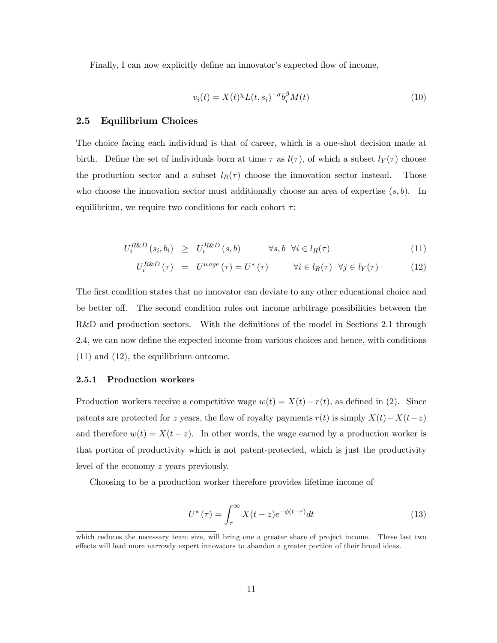Finally, I can now explicitly define an innovator's expected flow of income,

$$
v_i(t) = X(t)^{\chi} L(t, s_i)^{-\sigma} b_i^{\beta} M(t)
$$
\n(10)

### 2.5 Equilibrium Choices

The choice facing each individual is that of career, which is a one-shot decision made at birth. Define the set of individuals born at time  $\tau$  as  $l(\tau)$ , of which a subset  $l_Y(\tau)$  choose the production sector and a subset  $l_R(\tau)$  choose the innovation sector instead. Those who choose the innovation sector must additionally choose an area of expertise  $(s, b)$ . In equilibrium, we require two conditions for each cohort  $\tau$ :

$$
U_i^{R\&D}(s_i, b_i) \geq U_i^{R\&D}(s, b) \qquad \forall s, b \forall i \in l_R(\tau)
$$
\n
$$
(11)
$$

$$
U_i^{R\&D}(\tau) = U^{wage}(\tau) = U^*(\tau) \qquad \forall i \in l_R(\tau) \quad \forall j \in l_Y(\tau) \tag{12}
$$

The first condition states that no innovator can deviate to any other educational choice and be better off. The second condition rules out income arbitrage possibilities between the R&D and production sectors. With the definitions of the model in Sections 2.1 through 2.4, we can now define the expected income from various choices and hence, with conditions (11) and (12), the equilibrium outcome.

#### 2.5.1 Production workers

Production workers receive a competitive wage  $w(t) = X(t) - r(t)$ , as defined in (2). Since patents are protected for z years, the flow of royalty payments  $r(t)$  is simply  $X(t) - X(t-z)$ and therefore  $w(t) = X(t - z)$ . In other words, the wage earned by a production worker is that portion of productivity which is not patent-protected, which is just the productivity level of the economy z years previously.

Choosing to be a production worker therefore provides lifetime income of

$$
U^*(\tau) = \int_{\tau}^{\infty} X(t-z)e^{-\phi(t-\tau)}dt
$$
\n(13)

which reduces the necessary team size, will bring one a greater share of project income. These last two effects will lead more narrowly expert innovators to abandon a greater portion of their broad ideas.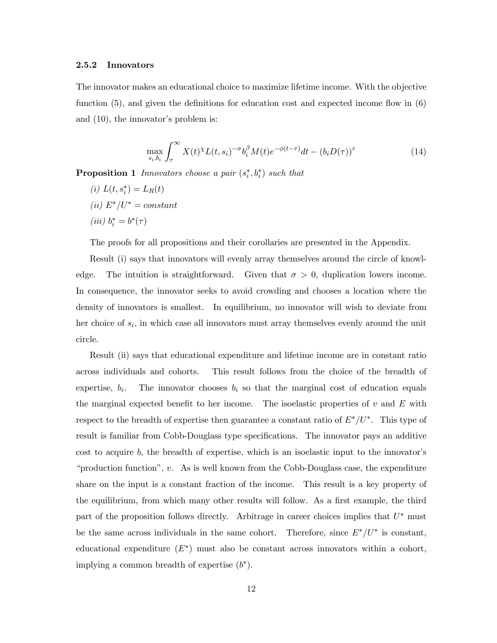#### 2.5.2 Innovators

The innovator makes an educational choice to maximize lifetime income. With the objective function (5), and given the definitions for education cost and expected income flow in (6) and (10), the innovator's problem is:

$$
\max_{s_i, b_i} \int_{\tau}^{\infty} X(t)^{\chi} L(t, s_i)^{-\sigma} b_i^{\beta} M(t) e^{-\phi(t-\tau)} dt - (b_i D(\tau))^{\varepsilon}
$$
\n(14)

**Proposition 1** Innovators choose a pair  $(s_i^*, b_i^*)$  such that

- (i)  $L(t, s_i^*) = L_R(t)$
- (ii)  $E^*/U^* = constant$
- (*iii*)  $b_i^* = b^*(\tau)$

The proofs for all propositions and their corollaries are presented in the Appendix.

Result (i) says that innovators will evenly array themselves around the circle of knowledge. The intuition is straightforward. Given that  $\sigma > 0$ , duplication lowers income. In consequence, the innovator seeks to avoid crowding and chooses a location where the density of innovators is smallest. In equilibrium, no innovator will wish to deviate from her choice of  $s_i$ , in which case all innovators must array themselves evenly around the unit circle.

Result (ii) says that educational expenditure and lifetime income are in constant ratio across individuals and cohorts. This result follows from the choice of the breadth of expertise,  $b_i$ . The innovator chooses  $b_i$  so that the marginal cost of education equals the marginal expected benefit to her income. The isoelastic properties of  $v$  and  $E$  with respect to the breadth of expertise then guarantee a constant ratio of  $E^*/U^*$ . This type of result is familiar from Cobb-Douglass type specifications. The innovator pays an additive cost to acquire b, the breadth of expertise, which is an isoelastic input to the innovator's "production function", v. As is well known from the Cobb-Douglass case, the expenditure share on the input is a constant fraction of the income. This result is a key property of the equilibrium, from which many other results will follow. As a first example, the third part of the proposition follows directly. Arbitrage in career choices implies that  $U^*$  must be the same across individuals in the same cohort. Therefore, since  $E^*/U^*$  is constant, educational expenditure  $(E^*)$  must also be constant across innovators within a cohort, implying a common breadth of expertise  $(b^*)$ .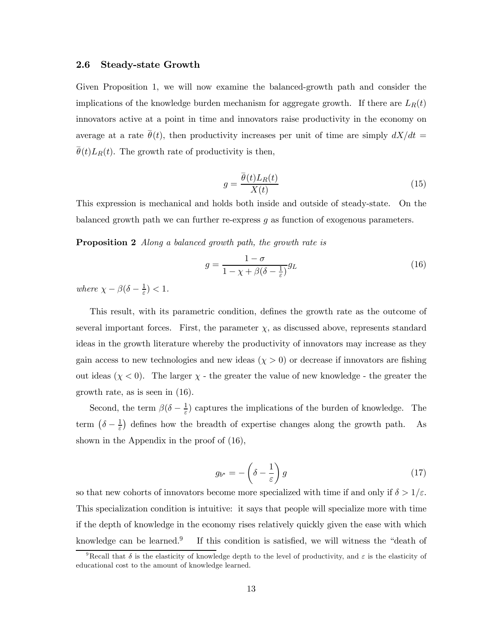#### 2.6 Steady-state Growth

Given Proposition 1, we will now examine the balanced-growth path and consider the implications of the knowledge burden mechanism for aggregate growth. If there are  $L_R(t)$ innovators active at a point in time and innovators raise productivity in the economy on average at a rate  $\bar{\theta}(t)$ , then productivity increases per unit of time are simply  $dX/dt =$  $\overline{\theta}(t)L_R(t)$ . The growth rate of productivity is then,

$$
g = \frac{\overline{\theta}(t)L_R(t)}{X(t)}
$$
\n(15)

This expression is mechanical and holds both inside and outside of steady-state. On the balanced growth path we can further re-express g as function of exogenous parameters.

**Proposition 2** Along a balanced growth path, the growth rate is

$$
g = \frac{1 - \sigma}{1 - \chi + \beta(\delta - \frac{1}{\varepsilon})} g_L \tag{16}
$$

where  $\chi - \beta(\delta - \frac{1}{\varepsilon}) < 1$ .

This result, with its parametric condition, defines the growth rate as the outcome of several important forces. First, the parameter  $\chi$ , as discussed above, represents standard ideas in the growth literature whereby the productivity of innovators may increase as they gain access to new technologies and new ideas  $(\chi > 0)$  or decrease if innovators are fishing out ideas  $(\chi < 0)$ . The larger  $\chi$  - the greater the value of new knowledge - the greater the growth rate, as is seen in (16).

Second, the term  $\beta(\delta - \frac{1}{\varepsilon})$  captures the implications of the burden of knowledge. The term  $(\delta - \frac{1}{\varepsilon})$  defines how the breadth of expertise changes along the growth path. As shown in the Appendix in the proof of (16),

$$
g_{b^*} = -\left(\delta - \frac{1}{\varepsilon}\right)g\tag{17}
$$

so that new cohorts of innovators become more specialized with time if and only if  $\delta > 1/\varepsilon$ . This specialization condition is intuitive: it says that people will specialize more with time if the depth of knowledge in the economy rises relatively quickly given the ease with which knowledge can be learned.<sup>9</sup> If this condition is satisfied, we will witness the "death of

<sup>&</sup>lt;sup>9</sup>Recall that  $\delta$  is the elasticity of knowledge depth to the level of productivity, and  $\varepsilon$  is the elasticity of educational cost to the amount of knowledge learned.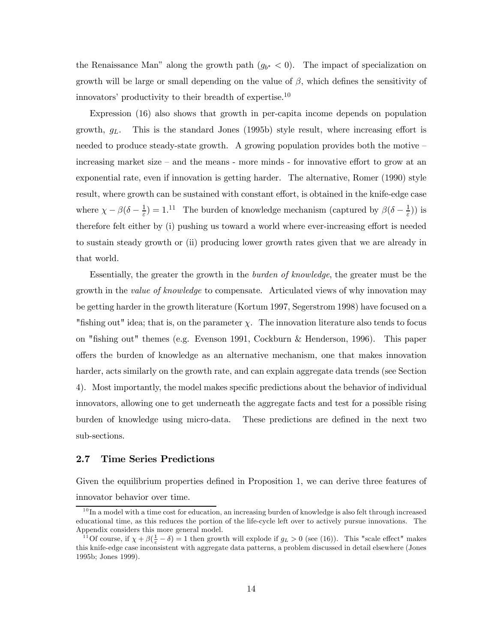the Renaissance Man" along the growth path  $(g_{b^*} < 0)$ . The impact of specialization on growth will be large or small depending on the value of  $\beta$ , which defines the sensitivity of innovators' productivity to their breadth of expertise.<sup>10</sup>

Expression (16) also shows that growth in per-capita income depends on population growth,  $g_L$ . This is the standard Jones (1995b) style result, where increasing effort is needed to produce steady-state growth. A growing population provides both the motive  $$ increasing market size — and the means - more minds - for innovative effort to grow at an exponential rate, even if innovation is getting harder. The alternative, Romer (1990) style result, where growth can be sustained with constant effort, is obtained in the knife-edge case where  $\chi - \beta(\delta - \frac{1}{\varepsilon}) = 1$ .<sup>11</sup> The burden of knowledge mechanism (captured by  $\beta(\delta - \frac{1}{\varepsilon})$ ) is therefore felt either by (i) pushing us toward a world where ever-increasing effort is needed to sustain steady growth or (ii) producing lower growth rates given that we are already in that world.

Essentially, the greater the growth in the burden of knowledge, the greater must be the growth in the *value of knowledge* to compensate. Articulated views of why innovation may be getting harder in the growth literature (Kortum 1997, Segerstrom 1998) have focused on a "fishing out" idea; that is, on the parameter  $\chi$ . The innovation literature also tends to focus on "fishing out" themes (e.g. Evenson 1991, Cockburn & Henderson, 1996). This paper offers the burden of knowledge as an alternative mechanism, one that makes innovation harder, acts similarly on the growth rate, and can explain aggregate data trends (see Section 4). Most importantly, the model makes specific predictions about the behavior of individual innovators, allowing one to get underneath the aggregate facts and test for a possible rising burden of knowledge using micro-data. These predictions are defined in the next two sub-sections.

#### 2.7 Time Series Predictions

Given the equilibrium properties defined in Proposition 1, we can derive three features of innovator behavior over time.

 $10$  In a model with a time cost for education, an increasing burden of knowledge is also felt through increased educational time, as this reduces the portion of the life-cycle left over to actively pursue innovations. The Appendix considers this more general model.

<sup>&</sup>lt;sup>11</sup>Of course, if  $\chi + \beta(\frac{1}{\varepsilon} - \delta) = 1$  then growth will explode if  $g_L > 0$  (see (16)). This "scale effect" makes this knife-edge case inconsistent with aggregate data patterns, a problem discussed in detail elsewhere (Jones 1995b; Jones 1999).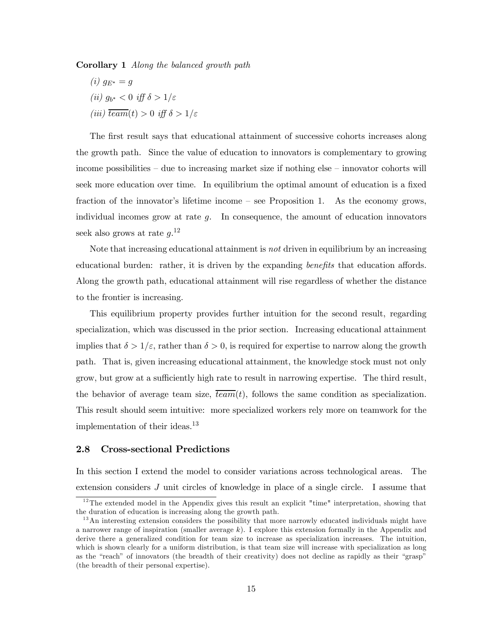Corollary 1 Along the balanced growth path

 $(i)$   $q_{E*} = q$ (ii)  $g_{b^*} < 0$  iff  $\delta > 1/\varepsilon$ (iii)  $\overline{team}(t) > 0$  iff  $\delta > 1/\varepsilon$ 

The first result says that educational attainment of successive cohorts increases along the growth path. Since the value of education to innovators is complementary to growing income possibilities — due to increasing market size if nothing else — innovator cohorts will seek more education over time. In equilibrium the optimal amount of education is a fixed fraction of the innovator's lifetime income — see Proposition 1. As the economy grows, individual incomes grow at rate  $g$ . In consequence, the amount of education innovators seek also grows at rate  $g^{12}$ .

Note that increasing educational attainment is not driven in equilibrium by an increasing educational burden: rather, it is driven by the expanding *benefits* that education affords. Along the growth path, educational attainment will rise regardless of whether the distance to the frontier is increasing.

This equilibrium property provides further intuition for the second result, regarding specialization, which was discussed in the prior section. Increasing educational attainment implies that  $\delta > 1/\varepsilon$ , rather than  $\delta > 0$ , is required for expertise to narrow along the growth path. That is, given increasing educational attainment, the knowledge stock must not only grow, but grow at a sufficiently high rate to result in narrowing expertise. The third result, the behavior of average team size,  $\overline{team}(t)$ , follows the same condition as specialization. This result should seem intuitive: more specialized workers rely more on teamwork for the implementation of their ideas.<sup>13</sup>

#### 2.8 Cross-sectional Predictions

In this section I extend the model to consider variations across technological areas. The extension considers J unit circles of knowledge in place of a single circle. I assume that

 $12$ The extended model in the Appendix gives this result an explicit "time" interpretation, showing that the duration of education is increasing along the growth path.

 $13$ An interesting extension considers the possibility that more narrowly educated individuals might have a narrower range of inspiration (smaller average  $k$ ). I explore this extension formally in the Appendix and derive there a generalized condition for team size to increase as specialization increases. The intuition, which is shown clearly for a uniform distribution, is that team size will increase with specialization as long as the "reach" of innovators (the breadth of their creativity) does not decline as rapidly as their "grasp" (the breadth of their personal expertise).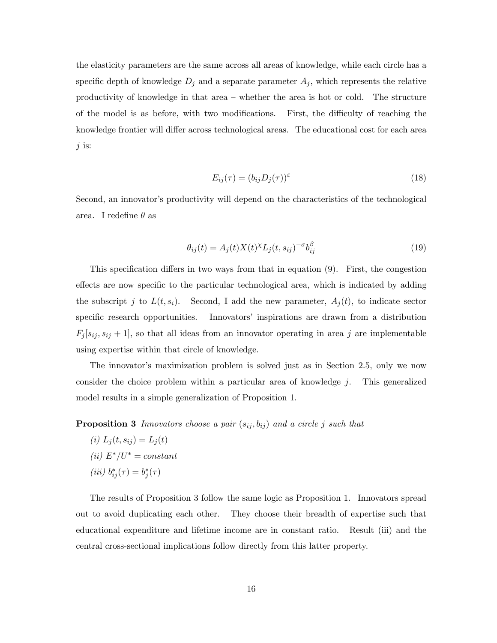the elasticity parameters are the same across all areas of knowledge, while each circle has a specific depth of knowledge  $D_j$  and a separate parameter  $A_j$ , which represents the relative productivity of knowledge in that area — whether the area is hot or cold. The structure of the model is as before, with two modifications. First, the difficulty of reaching the knowledge frontier will differ across technological areas. The educational cost for each area  $j$  is:

$$
E_{ij}(\tau) = (b_{ij}D_j(\tau))^{\varepsilon} \tag{18}
$$

Second, an innovator's productivity will depend on the characteristics of the technological area. I redefine  $\theta$  as

$$
\theta_{ij}(t) = A_j(t)X(t)^{\chi}L_j(t, s_{ij})^{-\sigma}b_{ij}^{\beta}
$$
\n(19)

This specification differs in two ways from that in equation (9). First, the congestion effects are now specific to the particular technological area, which is indicated by adding the subscript j to  $L(t, s_i)$ . Second, I add the new parameter,  $A_j(t)$ , to indicate sector specific research opportunities. Innovators' inspirations are drawn from a distribution  $F_j [s_{ij}, s_{ij} + 1]$ , so that all ideas from an innovator operating in area j are implementable using expertise within that circle of knowledge.

The innovator's maximization problem is solved just as in Section 2.5, only we now consider the choice problem within a particular area of knowledge  $j$ . This generalized model results in a simple generalization of Proposition 1.

**Proposition 3** Innovators choose a pair  $(s_{ij}, b_{ij})$  and a circle j such that

(*i*)  $L_j(t, s_{ij}) = L_j(t)$ (ii)  $E^*/U^* = constant$ (iii)  $b_{ij}^*(\tau) = b_j^*(\tau)$ 

The results of Proposition 3 follow the same logic as Proposition 1. Innovators spread out to avoid duplicating each other. They choose their breadth of expertise such that educational expenditure and lifetime income are in constant ratio. Result (iii) and the central cross-sectional implications follow directly from this latter property.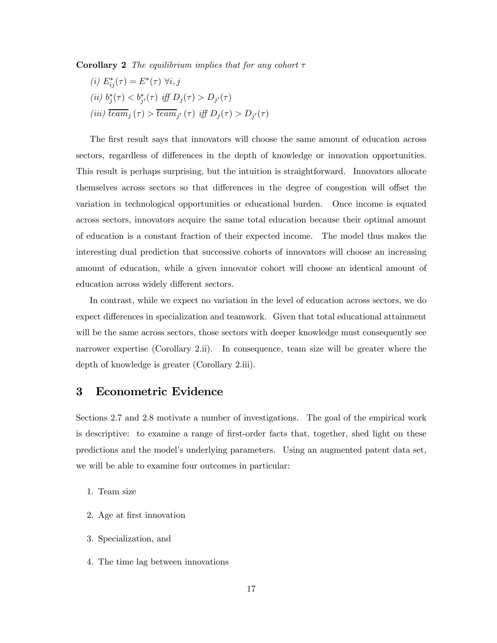**Corollary 2** The equilibrium implies that for any cohort  $\tau$ 

(i) 
$$
E_{ij}^*(\tau) = E^*(\tau)
$$
  $\forall i, j$   
\n(ii)  $b_j^*(\tau) < b_{j'}^*(\tau)$  iff  $D_j(\tau) > D_{j'}(\tau)$   
\n(iii)  $\overline{team}_j(\tau) > \overline{team}_{j'}(\tau)$  iff  $D_j(\tau) > D_{j'}(\tau)$ 

The first result says that innovators will choose the same amount of education across sectors, regardless of differences in the depth of knowledge or innovation opportunities. This result is perhaps surprising, but the intuition is straightforward. Innovators allocate themselves across sectors so that differences in the degree of congestion will offset the variation in technological opportunities or educational burden. Once income is equated across sectors, innovators acquire the same total education because their optimal amount of education is a constant fraction of their expected income. The model thus makes the interesting dual prediction that successive cohorts of innovators will choose an increasing amount of education, while a given innovator cohort will choose an identical amount of education across widely different sectors.

In contrast, while we expect no variation in the level of education across sectors, we do expect differences in specialization and teamwork. Given that total educational attainment will be the same across sectors, those sectors with deeper knowledge must consequently see narrower expertise (Corollary 2.ii). In consequence, team size will be greater where the depth of knowledge is greater (Corollary 2.iii).

# 3 Econometric Evidence

Sections 2.7 and 2.8 motivate a number of investigations. The goal of the empirical work is descriptive: to examine a range of first-order facts that, together, shed light on these predictions and the model's underlying parameters. Using an augmented patent data set, we will be able to examine four outcomes in particular:

- 1. Team size
- 2. Age at first innovation
- 3. Specialization, and
- 4. The time lag between innovations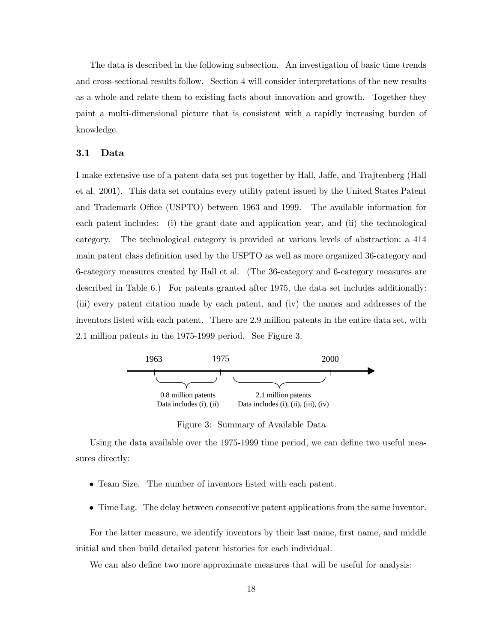The data is described in the following subsection. An investigation of basic time trends and cross-sectional results follow. Section 4 will consider interpretations of the new results as a whole and relate them to existing facts about innovation and growth. Together they paint a multi-dimensional picture that is consistent with a rapidly increasing burden of knowledge.

#### 3.1 Data

I make extensive use of a patent data set put together by Hall, Jaffe, and Trajtenberg (Hall et al. 2001). This data set contains every utility patent issued by the United States Patent and Trademark Office (USPTO) between 1963 and 1999. The available information for each patent includes: (i) the grant date and application year, and (ii) the technological category. The technological category is provided at various levels of abstraction: a 414 main patent class definition used by the USPTO as well as more organized 36-category and 6-category measures created by Hall et al. (The 36-category and 6-category measures are described in Table 6.) For patents granted after 1975, the data set includes additionally: (iii) every patent citation made by each patent, and (iv) the names and addresses of the inventors listed with each patent. There are 2.9 million patents in the entire data set, with 2.1 million patents in the 1975-1999 period. See Figure 3.



Figure 3: Summary of Available Data

Using the data available over the 1975-1999 time period, we can define two useful measures directly:

- Team Size. The number of inventors listed with each patent.
- Time Lag. The delay between consecutive patent applications from the same inventor.

For the latter measure, we identify inventors by their last name, first name, and middle initial and then build detailed patent histories for each individual.

We can also define two more approximate measures that will be useful for analysis: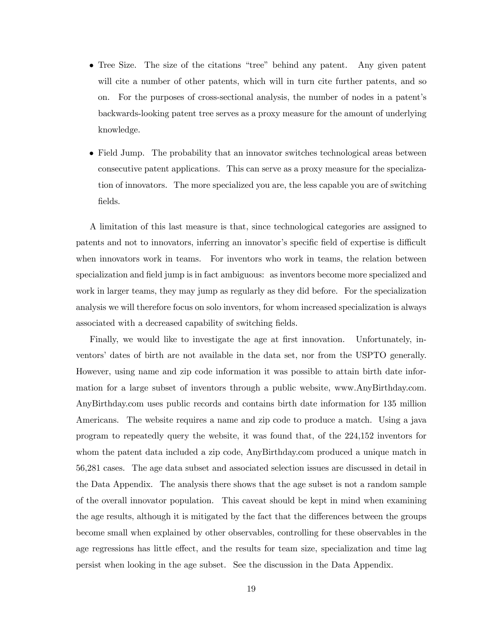- Tree Size. The size of the citations "tree" behind any patent. Any given patent will cite a number of other patents, which will in turn cite further patents, and so on. For the purposes of cross-sectional analysis, the number of nodes in a patent's backwards-looking patent tree serves as a proxy measure for the amount of underlying knowledge.
- Field Jump. The probability that an innovator switches technological areas between consecutive patent applications. This can serve as a proxy measure for the specialization of innovators. The more specialized you are, the less capable you are of switching fields.

A limitation of this last measure is that, since technological categories are assigned to patents and not to innovators, inferring an innovator's specific field of expertise is difficult when innovators work in teams. For inventors who work in teams, the relation between specialization and field jump is in fact ambiguous: as inventors become more specialized and work in larger teams, they may jump as regularly as they did before. For the specialization analysis we will therefore focus on solo inventors, for whom increased specialization is always associated with a decreased capability of switching fields.

Finally, we would like to investigate the age at first innovation. Unfortunately, inventors' dates of birth are not available in the data set, nor from the USPTO generally. However, using name and zip code information it was possible to attain birth date information for a large subset of inventors through a public website, www.AnyBirthday.com. AnyBirthday.com uses public records and contains birth date information for 135 million Americans. The website requires a name and zip code to produce a match. Using a java program to repeatedly query the website, it was found that, of the 224,152 inventors for whom the patent data included a zip code, AnyBirthday.com produced a unique match in 56,281 cases. The age data subset and associated selection issues are discussed in detail in the Data Appendix. The analysis there shows that the age subset is not a random sample of the overall innovator population. This caveat should be kept in mind when examining the age results, although it is mitigated by the fact that the differences between the groups become small when explained by other observables, controlling for these observables in the age regressions has little effect, and the results for team size, specialization and time lag persist when looking in the age subset. See the discussion in the Data Appendix.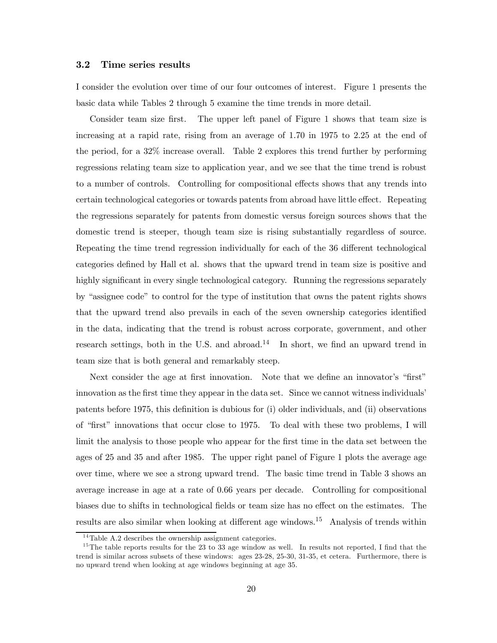#### 3.2 Time series results

I consider the evolution over time of our four outcomes of interest. Figure 1 presents the basic data while Tables 2 through 5 examine the time trends in more detail.

Consider team size first. The upper left panel of Figure 1 shows that team size is increasing at a rapid rate, rising from an average of 1.70 in 1975 to 2.25 at the end of the period, for a 32% increase overall. Table 2 explores this trend further by performing regressions relating team size to application year, and we see that the time trend is robust to a number of controls. Controlling for compositional effects shows that any trends into certain technological categories or towards patents from abroad have little effect. Repeating the regressions separately for patents from domestic versus foreign sources shows that the domestic trend is steeper, though team size is rising substantially regardless of source. Repeating the time trend regression individually for each of the 36 different technological categories defined by Hall et al. shows that the upward trend in team size is positive and highly significant in every single technological category. Running the regressions separately by "assignee code" to control for the type of institution that owns the patent rights shows that the upward trend also prevails in each of the seven ownership categories identified in the data, indicating that the trend is robust across corporate, government, and other research settings, both in the U.S. and abroad.<sup>14</sup> In short, we find an upward trend in team size that is both general and remarkably steep.

Next consider the age at first innovation. Note that we define an innovator's "first" innovation as the first time they appear in the data set. Since we cannot witness individuals' patents before 1975, this definition is dubious for (i) older individuals, and (ii) observations of "first" innovations that occur close to 1975. To deal with these two problems, I will limit the analysis to those people who appear for the first time in the data set between the ages of 25 and 35 and after 1985. The upper right panel of Figure 1 plots the average age over time, where we see a strong upward trend. The basic time trend in Table 3 shows an average increase in age at a rate of 0.66 years per decade. Controlling for compositional biases due to shifts in technological fields or team size has no effect on the estimates. The results are also similar when looking at different age windows.<sup>15</sup> Analysis of trends within

 $14$ Table A.2 describes the ownership assignment categories.

<sup>&</sup>lt;sup>15</sup>The table reports results for the 23 to 33 age window as well. In results not reported, I find that the trend is similar across subsets of these windows: ages 23-28, 25-30, 31-35, et cetera. Furthermore, there is no upward trend when looking at age windows beginning at age 35.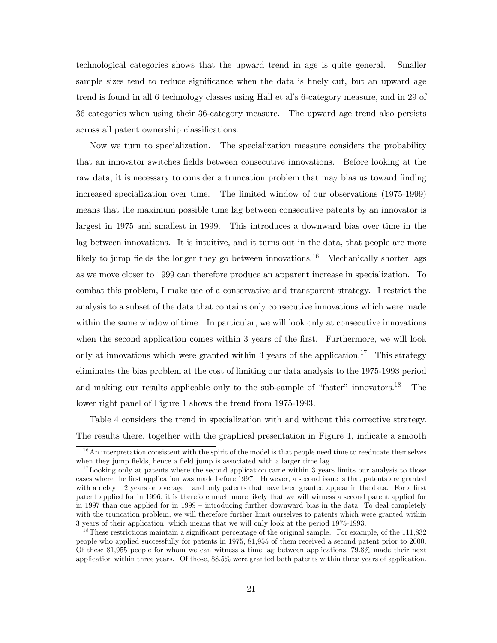technological categories shows that the upward trend in age is quite general. Smaller sample sizes tend to reduce significance when the data is finely cut, but an upward age trend is found in all 6 technology classes using Hall et al's 6-category measure, and in 29 of 36 categories when using their 36-category measure. The upward age trend also persists across all patent ownership classifications.

Now we turn to specialization. The specialization measure considers the probability that an innovator switches fields between consecutive innovations. Before looking at the raw data, it is necessary to consider a truncation problem that may bias us toward finding increased specialization over time. The limited window of our observations (1975-1999) means that the maximum possible time lag between consecutive patents by an innovator is largest in 1975 and smallest in 1999. This introduces a downward bias over time in the lag between innovations. It is intuitive, and it turns out in the data, that people are more likely to jump fields the longer they go between innovations.<sup>16</sup> Mechanically shorter lags as we move closer to 1999 can therefore produce an apparent increase in specialization. To combat this problem, I make use of a conservative and transparent strategy. I restrict the analysis to a subset of the data that contains only consecutive innovations which were made within the same window of time. In particular, we will look only at consecutive innovations when the second application comes within 3 years of the first. Furthermore, we will look only at innovations which were granted within 3 years of the application.<sup>17</sup> This strategy eliminates the bias problem at the cost of limiting our data analysis to the 1975-1993 period and making our results applicable only to the sub-sample of "faster" innovators.<sup>18</sup> The lower right panel of Figure 1 shows the trend from 1975-1993.

Table 4 considers the trend in specialization with and without this corrective strategy. The results there, together with the graphical presentation in Figure 1, indicate a smooth

 $1<sup>6</sup>$ An interpretation consistent with the spirit of the model is that people need time to reeducate themselves when they jump fields, hence a field jump is associated with a larger time lag.

 $17$  Looking only at patents where the second application came within 3 years limits our analysis to those cases where the first application was made before 1997. However, a second issue is that patents are granted with a delay  $-2$  years on average  $-$  and only patents that have been granted appear in the data. For a first patent applied for in 1996, it is therefore much more likely that we will witness a second patent applied for in 1997 than one applied for in 1999 — introducing further downward bias in the data. To deal completely with the truncation problem, we will therefore further limit ourselves to patents which were granted within 3 years of their application, which means that we will only look at the period 1975-1993.

<sup>&</sup>lt;sup>18</sup>These restrictions maintain a significant percentage of the original sample. For example, of the  $111,832$ people who applied successfully for patents in 1975, 81,955 of them received a second patent prior to 2000. Of these 81,955 people for whom we can witness a time lag between applications, 79.8% made their next application within three years. Of those, 88.5% were granted both patents within three years of application.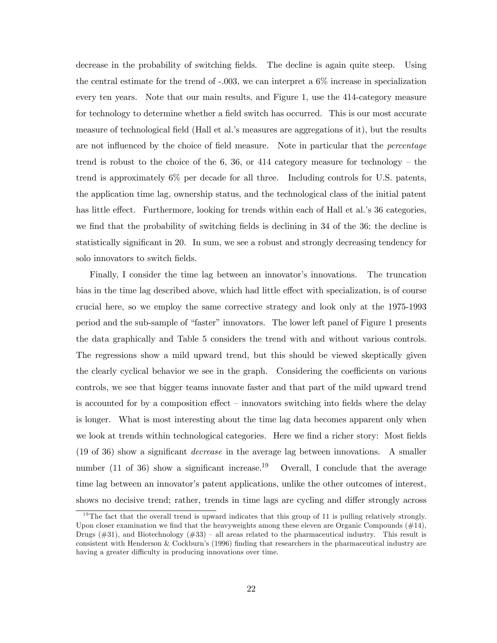decrease in the probability of switching fields. The decline is again quite steep. Using the central estimate for the trend of -.003, we can interpret a 6% increase in specialization every ten years. Note that our main results, and Figure 1, use the 414-category measure for technology to determine whether a field switch has occurred. This is our most accurate measure of technological field (Hall et al.'s measures are aggregations of it), but the results are not influenced by the choice of field measure. Note in particular that the *percentage* trend is robust to the choice of the  $6, 36$ , or  $414$  category measure for technology – the trend is approximately 6% per decade for all three. Including controls for U.S. patents, the application time lag, ownership status, and the technological class of the initial patent has little effect. Furthermore, looking for trends within each of Hall et al.'s 36 categories, we find that the probability of switching fields is declining in 34 of the 36; the decline is statistically significant in 20. In sum, we see a robust and strongly decreasing tendency for solo innovators to switch fields.

Finally, I consider the time lag between an innovator's innovations. The truncation bias in the time lag described above, which had little effect with specialization, is of course crucial here, so we employ the same corrective strategy and look only at the 1975-1993 period and the sub-sample of "faster" innovators. The lower left panel of Figure 1 presents the data graphically and Table 5 considers the trend with and without various controls. The regressions show a mild upward trend, but this should be viewed skeptically given the clearly cyclical behavior we see in the graph. Considering the coefficients on various controls, we see that bigger teams innovate faster and that part of the mild upward trend is accounted for by a composition effect — innovators switching into fields where the delay is longer. What is most interesting about the time lag data becomes apparent only when we look at trends within technological categories. Here we find a richer story: Most fields (19 of 36) show a significant decrease in the average lag between innovations. A smaller number (11 of 36) show a significant increase.<sup>19</sup> Overall, I conclude that the average time lag between an innovator's patent applications, unlike the other outcomes of interest, shows no decisive trend; rather, trends in time lags are cycling and differ strongly across

<sup>&</sup>lt;sup>19</sup>The fact that the overall trend is upward indicates that this group of 11 is pulling relatively strongly. Upon closer examination we find that the heavyweights among these eleven are Organic Compounds  $(\#14)$ , Drugs  $(\#31)$ , and Biotechnology  $(\#33)$  – all areas related to the pharmaceutical industry. This result is consistent with Henderson & Cockburn's (1996) finding that researchers in the pharmaceutical industry are having a greater difficulty in producing innovations over time.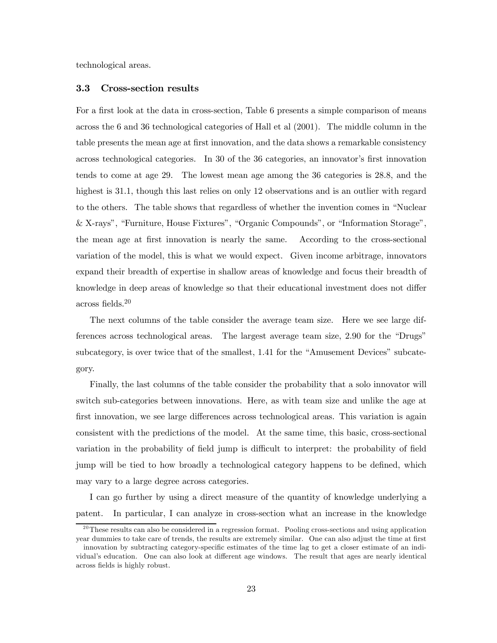technological areas.

### 3.3 Cross-section results

For a first look at the data in cross-section, Table 6 presents a simple comparison of means across the 6 and 36 technological categories of Hall et al (2001). The middle column in the table presents the mean age at first innovation, and the data shows a remarkable consistency across technological categories. In 30 of the 36 categories, an innovator's first innovation tends to come at age 29. The lowest mean age among the 36 categories is 28.8, and the highest is 31.1, though this last relies on only 12 observations and is an outlier with regard to the others. The table shows that regardless of whether the invention comes in "Nuclear & X-rays", "Furniture, House Fixtures", "Organic Compounds", or "Information Storage", the mean age at first innovation is nearly the same. According to the cross-sectional variation of the model, this is what we would expect. Given income arbitrage, innovators expand their breadth of expertise in shallow areas of knowledge and focus their breadth of knowledge in deep areas of knowledge so that their educational investment does not differ across fields.20

The next columns of the table consider the average team size. Here we see large differences across technological areas. The largest average team size, 2.90 for the "Drugs" subcategory, is over twice that of the smallest, 1.41 for the "Amusement Devices" subcategory.

Finally, the last columns of the table consider the probability that a solo innovator will switch sub-categories between innovations. Here, as with team size and unlike the age at first innovation, we see large differences across technological areas. This variation is again consistent with the predictions of the model. At the same time, this basic, cross-sectional variation in the probability of field jump is difficult to interpret: the probability of field jump will be tied to how broadly a technological category happens to be defined, which may vary to a large degree across categories.

I can go further by using a direct measure of the quantity of knowledge underlying a patent. In particular, I can analyze in cross-section what an increase in the knowledge

 $^{20}$ These results can also be considered in a regression format. Pooling cross-sections and using application year dummies to take care of trends, the results are extremely similar. One can also adjust the time at first

innovation by subtracting category-specific estimates of the time lag to get a closer estimate of an individual's education. One can also look at different age windows. The result that ages are nearly identical across fields is highly robust.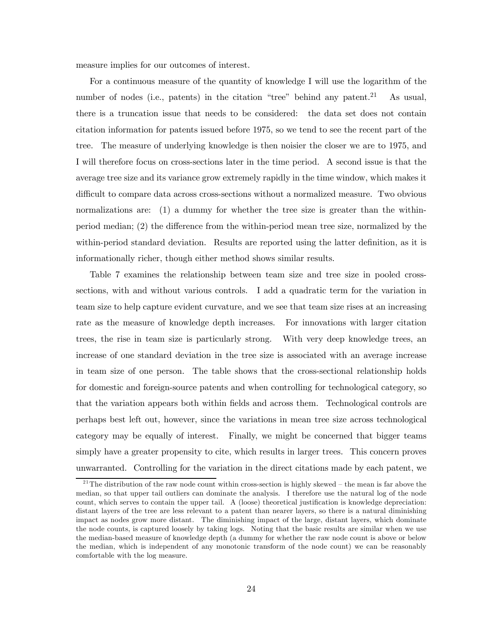measure implies for our outcomes of interest.

For a continuous measure of the quantity of knowledge I will use the logarithm of the number of nodes (i.e., patents) in the citation "tree" behind any patent.<sup>21</sup> As usual, there is a truncation issue that needs to be considered: the data set does not contain citation information for patents issued before 1975, so we tend to see the recent part of the tree. The measure of underlying knowledge is then noisier the closer we are to 1975, and I will therefore focus on cross-sections later in the time period. A second issue is that the average tree size and its variance grow extremely rapidly in the time window, which makes it difficult to compare data across cross-sections without a normalized measure. Two obvious normalizations are: (1) a dummy for whether the tree size is greater than the withinperiod median; (2) the difference from the within-period mean tree size, normalized by the within-period standard deviation. Results are reported using the latter definition, as it is informationally richer, though either method shows similar results.

Table 7 examines the relationship between team size and tree size in pooled crosssections, with and without various controls. I add a quadratic term for the variation in team size to help capture evident curvature, and we see that team size rises at an increasing rate as the measure of knowledge depth increases. For innovations with larger citation trees, the rise in team size is particularly strong. With very deep knowledge trees, an increase of one standard deviation in the tree size is associated with an average increase in team size of one person. The table shows that the cross-sectional relationship holds for domestic and foreign-source patents and when controlling for technological category, so that the variation appears both within fields and across them. Technological controls are perhaps best left out, however, since the variations in mean tree size across technological category may be equally of interest. Finally, we might be concerned that bigger teams simply have a greater propensity to cite, which results in larger trees. This concern proves unwarranted. Controlling for the variation in the direct citations made by each patent, we

 $21$ The distribution of the raw node count within cross-section is highly skewed – the mean is far above the median, so that upper tail outliers can dominate the analysis. I therefore use the natural log of the node count, which serves to contain the upper tail. A (loose) theoretical justification is knowledge depreciation: distant layers of the tree are less relevant to a patent than nearer layers, so there is a natural diminishing impact as nodes grow more distant. The diminishing impact of the large, distant layers, which dominate the node counts, is captured loosely by taking logs. Noting that the basic results are similar when we use the median-based measure of knowledge depth (a dummy for whether the raw node count is above or below the median, which is independent of any monotonic transform of the node count) we can be reasonably comfortable with the log measure.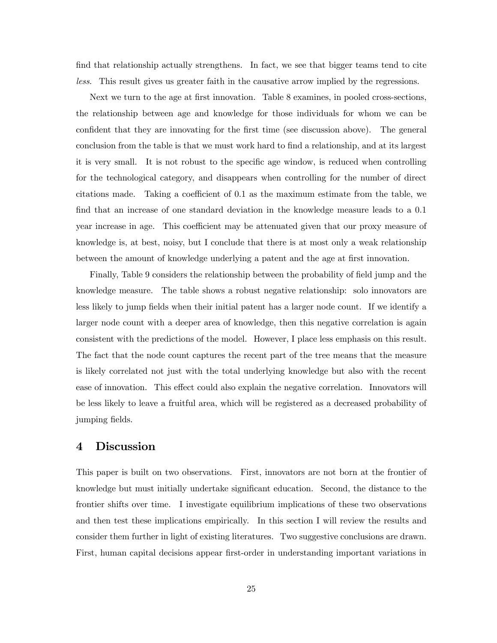find that relationship actually strengthens. In fact, we see that bigger teams tend to cite less. This result gives us greater faith in the causative arrow implied by the regressions.

Next we turn to the age at first innovation. Table 8 examines, in pooled cross-sections, the relationship between age and knowledge for those individuals for whom we can be confident that they are innovating for the first time (see discussion above). The general conclusion from the table is that we must work hard to find a relationship, and at its largest it is very small. It is not robust to the specific age window, is reduced when controlling for the technological category, and disappears when controlling for the number of direct citations made. Taking a coefficient of 0.1 as the maximum estimate from the table, we find that an increase of one standard deviation in the knowledge measure leads to a 0.1 year increase in age. This coefficient may be attenuated given that our proxy measure of knowledge is, at best, noisy, but I conclude that there is at most only a weak relationship between the amount of knowledge underlying a patent and the age at first innovation.

Finally, Table 9 considers the relationship between the probability of field jump and the knowledge measure. The table shows a robust negative relationship: solo innovators are less likely to jump fields when their initial patent has a larger node count. If we identify a larger node count with a deeper area of knowledge, then this negative correlation is again consistent with the predictions of the model. However, I place less emphasis on this result. The fact that the node count captures the recent part of the tree means that the measure is likely correlated not just with the total underlying knowledge but also with the recent ease of innovation. This effect could also explain the negative correlation. Innovators will be less likely to leave a fruitful area, which will be registered as a decreased probability of jumping fields.

# 4 Discussion

This paper is built on two observations. First, innovators are not born at the frontier of knowledge but must initially undertake significant education. Second, the distance to the frontier shifts over time. I investigate equilibrium implications of these two observations and then test these implications empirically. In this section I will review the results and consider them further in light of existing literatures. Two suggestive conclusions are drawn. First, human capital decisions appear first-order in understanding important variations in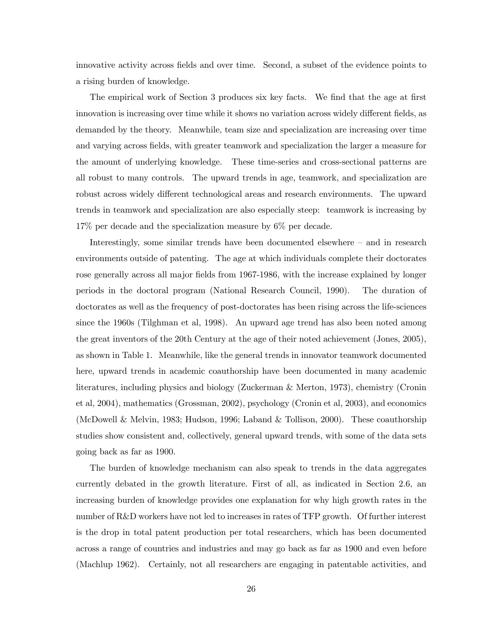innovative activity across fields and over time. Second, a subset of the evidence points to a rising burden of knowledge.

The empirical work of Section 3 produces six key facts. We find that the age at first innovation is increasing over time while it shows no variation across widely different fields, as demanded by the theory. Meanwhile, team size and specialization are increasing over time and varying across fields, with greater teamwork and specialization the larger a measure for the amount of underlying knowledge. These time-series and cross-sectional patterns are all robust to many controls. The upward trends in age, teamwork, and specialization are robust across widely different technological areas and research environments. The upward trends in teamwork and specialization are also especially steep: teamwork is increasing by 17% per decade and the specialization measure by 6% per decade.

Interestingly, some similar trends have been documented elsewhere — and in research environments outside of patenting. The age at which individuals complete their doctorates rose generally across all major fields from 1967-1986, with the increase explained by longer periods in the doctoral program (National Research Council, 1990). The duration of doctorates as well as the frequency of post-doctorates has been rising across the life-sciences since the 1960s (Tilghman et al, 1998). An upward age trend has also been noted among the great inventors of the 20th Century at the age of their noted achievement (Jones, 2005), as shown in Table 1. Meanwhile, like the general trends in innovator teamwork documented here, upward trends in academic coauthorship have been documented in many academic literatures, including physics and biology (Zuckerman & Merton, 1973), chemistry (Cronin et al, 2004), mathematics (Grossman, 2002), psychology (Cronin et al, 2003), and economics (McDowell & Melvin, 1983; Hudson, 1996; Laband & Tollison, 2000). These coauthorship studies show consistent and, collectively, general upward trends, with some of the data sets going back as far as 1900.

The burden of knowledge mechanism can also speak to trends in the data aggregates currently debated in the growth literature. First of all, as indicated in Section 2.6, an increasing burden of knowledge provides one explanation for why high growth rates in the number of R&D workers have not led to increases in rates of TFP growth. Of further interest is the drop in total patent production per total researchers, which has been documented across a range of countries and industries and may go back as far as 1900 and even before (Machlup 1962). Certainly, not all researchers are engaging in patentable activities, and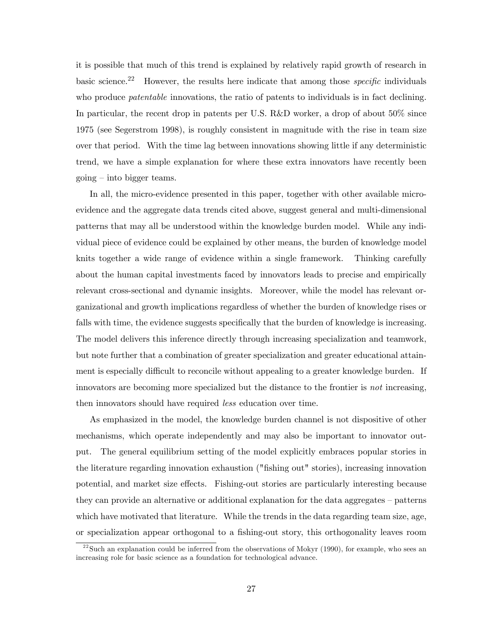it is possible that much of this trend is explained by relatively rapid growth of research in basic science.<sup>22</sup> However, the results here indicate that among those *specific* individuals who produce *patentable* innovations, the ratio of patents to individuals is in fact declining. In particular, the recent drop in patents per U.S. R&D worker, a drop of about 50% since 1975 (see Segerstrom 1998), is roughly consistent in magnitude with the rise in team size over that period. With the time lag between innovations showing little if any deterministic trend, we have a simple explanation for where these extra innovators have recently been going — into bigger teams.

In all, the micro-evidence presented in this paper, together with other available microevidence and the aggregate data trends cited above, suggest general and multi-dimensional patterns that may all be understood within the knowledge burden model. While any individual piece of evidence could be explained by other means, the burden of knowledge model knits together a wide range of evidence within a single framework. Thinking carefully about the human capital investments faced by innovators leads to precise and empirically relevant cross-sectional and dynamic insights. Moreover, while the model has relevant organizational and growth implications regardless of whether the burden of knowledge rises or falls with time, the evidence suggests specifically that the burden of knowledge is increasing. The model delivers this inference directly through increasing specialization and teamwork, but note further that a combination of greater specialization and greater educational attainment is especially difficult to reconcile without appealing to a greater knowledge burden. If innovators are becoming more specialized but the distance to the frontier is not increasing, then innovators should have required *less* education over time.

As emphasized in the model, the knowledge burden channel is not dispositive of other mechanisms, which operate independently and may also be important to innovator output. The general equilibrium setting of the model explicitly embraces popular stories in the literature regarding innovation exhaustion ("fishing out" stories), increasing innovation potential, and market size effects. Fishing-out stories are particularly interesting because they can provide an alternative or additional explanation for the data aggregates — patterns which have motivated that literature. While the trends in the data regarding team size, age, or specialization appear orthogonal to a fishing-out story, this orthogonality leaves room

 $^{22}$ Such an explanation could be inferred from the observations of Mokyr (1990), for example, who sees an increasing role for basic science as a foundation for technological advance.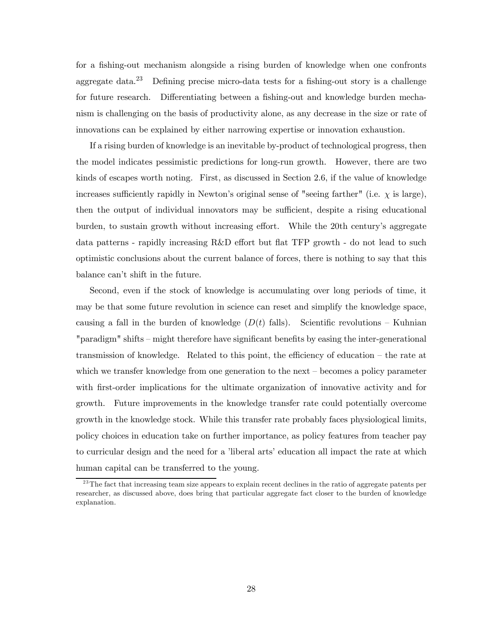for a fishing-out mechanism alongside a rising burden of knowledge when one confronts aggregate data.<sup>23</sup> Defining precise micro-data tests for a fishing-out story is a challenge for future research. Differentiating between a fishing-out and knowledge burden mechanism is challenging on the basis of productivity alone, as any decrease in the size or rate of innovations can be explained by either narrowing expertise or innovation exhaustion.

If a rising burden of knowledge is an inevitable by-product of technological progress, then the model indicates pessimistic predictions for long-run growth. However, there are two kinds of escapes worth noting. First, as discussed in Section 2.6, if the value of knowledge increases sufficiently rapidly in Newton's original sense of "seeing farther" (i.e.  $\chi$  is large), then the output of individual innovators may be sufficient, despite a rising educational burden, to sustain growth without increasing effort. While the 20th century's aggregate data patterns - rapidly increasing R&D effort but flat TFP growth - do not lead to such optimistic conclusions about the current balance of forces, there is nothing to say that this balance can't shift in the future.

Second, even if the stock of knowledge is accumulating over long periods of time, it may be that some future revolution in science can reset and simplify the knowledge space, causing a fall in the burden of knowledge  $(D(t)$  falls). Scientific revolutions – Kuhnian "paradigm" shifts — might therefore have significant benefits by easing the inter-generational transmission of knowledge. Related to this point, the efficiency of education — the rate at which we transfer knowledge from one generation to the next – becomes a policy parameter with first-order implications for the ultimate organization of innovative activity and for growth. Future improvements in the knowledge transfer rate could potentially overcome growth in the knowledge stock. While this transfer rate probably faces physiological limits, policy choices in education take on further importance, as policy features from teacher pay to curricular design and the need for a 'liberal arts' education all impact the rate at which human capital can be transferred to the young.

<sup>&</sup>lt;sup>23</sup>The fact that increasing team size appears to explain recent declines in the ratio of aggregate patents per researcher, as discussed above, does bring that particular aggregate fact closer to the burden of knowledge explanation.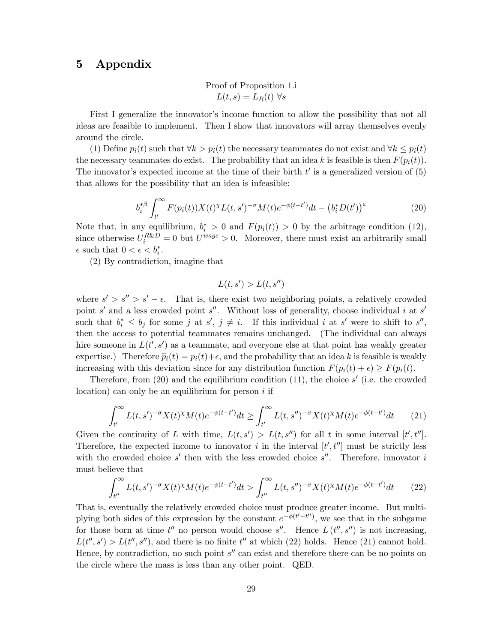# 5 Appendix

Proof of Proposition 1.i  $L(t, s) = L_R(t) \,\forall s$ 

First I generalize the innovator's income function to allow the possibility that not all ideas are feasible to implement. Then I show that innovators will array themselves evenly around the circle.

(1) Define  $p_i(t)$  such that  $\forall k > p_i(t)$  the necessary teammates do not exist and  $\forall k \leq p_i(t)$ the necessary teammates do exist. The probability that an idea k is feasible is then  $F(p_i(t))$ . The innovator's expected income at the time of their birth  $t'$  is a generalized version of  $(5)$ that allows for the possibility that an idea is infeasible:

$$
b_i^{*\beta} \int_{t'}^{\infty} F(p_i(t)) X(t)^{\chi} L(t, s')^{-\sigma} M(t) e^{-\phi(t-t')} dt - \left(b_i^* D(t')\right)^{\varepsilon}
$$
 (20)

Note that, in any equilibrium,  $b_i^* > 0$  and  $F(p_i(t)) > 0$  by the arbitrage condition (12), since otherwise  $U_i^{R\&D} = 0$  but  $U^{wage} > 0$ . Moreover, there must exist an arbitrarily small  $\epsilon$  such that  $0 < \epsilon < b_i^*$ .

(2) By contradiction, imagine that

$$
L(t, s') > L(t, s'')
$$

where  $s' > s'' > s' - \epsilon$ . That is, there exist two neighboring points, a relatively crowded point s' and a less crowded point s''. Without loss of generality, choose individual i at s' such that  $b_i^* \leq b_j$  for some j at  $s', j \neq i$ . If this individual i at s' were to shift to  $s'',$ then the access to potential teammates remains unchanged. (The individual can always hire someone in  $L(t', s')$  as a teammate, and everyone else at that point has weakly greater expertise.) Therefore  $\hat{p}_i(t) = p_i(t) + \epsilon$ , and the probability that an idea k is feasible is weakly increasing with this deviation since for any distribution function  $F(p_i(t) + \epsilon) > F(p_i(t))$ .

Therefore, from  $(20)$  and the equilibrium condition  $(11)$ , the choice s' (i.e. the crowded location) can only be an equilibrium for person  $i$  if

$$
\int_{t'}^{\infty} L(t,s')^{-\sigma} X(t)^{\chi} M(t) e^{-\phi(t-t')} dt \ge \int_{t'}^{\infty} L(t,s'')^{-\sigma} X(t)^{\chi} M(t) e^{-\phi(t-t')} dt \tag{21}
$$

Given the continuity of L with time,  $L(t, s') > L(t, s'')$  for all t in some interval  $[t', t'']$ . Therefore, the expected income to innovator i in the interval  $[t', t'']$  must be strictly less with the crowded choice s' then with the less crowded choice s''. Therefore, innovator i must believe that

$$
\int_{t^{\prime\prime}}^{\infty} L(t,s^{\prime})^{-\sigma} X(t)^{\chi} M(t) e^{-\phi(t-t^{\prime})} dt > \int_{t^{\prime\prime}}^{\infty} L(t,s^{\prime\prime})^{-\sigma} X(t)^{\chi} M(t) e^{-\phi(t-t^{\prime})} dt \qquad (22)
$$

That is, eventually the relatively crowded choice must produce greater income. But multiplying both sides of this expression by the constant  $e^{-\phi(t'-t'')}$ , we see that in the subgame for those born at time  $t''$  no person would choose s''. Hence  $L(t'', s'')$  is not increasing,  $L(t'', s') > L(t'', s'')$ , and there is no finite  $t''$  at which (22) holds. Hence (21) cannot hold. Hence, by contradiction, no such point  $s''$  can exist and therefore there can be no points on the circle where the mass is less than any other point. QED.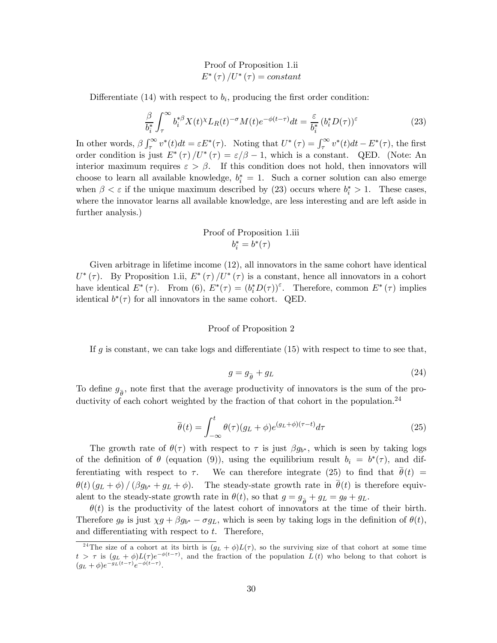# Proof of Proposition 1.ii  $E^*(\tau)/U^*(\tau) = constant$

Differentiate (14) with respect to  $b_i$ , producing the first order condition:

$$
\frac{\beta}{b_i^*} \int_{\tau}^{\infty} b_i^{*\beta} X(t)^{\chi} L_R(t)^{-\sigma} M(t) e^{-\phi(t-\tau)} dt = \frac{\varepsilon}{b_i^*} (b_i^* D(\tau))^{\varepsilon}
$$
\n(23)

In other words,  $\beta \int_{\tau}^{\infty} v^*(t) dt = \varepsilon E^*(\tau)$ . Noting that  $U^*(\tau) = \int_{\tau}^{\infty} v^*(t) dt - E^*(\tau)$ , the first order condition is just  $E^*(\tau)/U^*(\tau) = \varepsilon/\beta - 1$ , which is a constant. QED. (Note: An interior maximum requires  $\varepsilon > \beta$ . If this condition does not hold, then innovators will choose to learn all available knowledge,  $b_i^* = 1$ . Such a corner solution can also emerge when  $\beta < \varepsilon$  if the unique maximum described by (23) occurs where  $b_i^* > 1$ . These cases, where the innovator learns all available knowledge, are less interesting and are left aside in further analysis.)

# Proof of Proposition 1.iii  $b_i^* = b^*(\tau)$

Given arbitrage in lifetime income (12), all innovators in the same cohort have identical  $U^*(\tau)$ . By Proposition 1.ii,  $E^*(\tau)/U^*(\tau)$  is a constant, hence all innovators in a cohort have identical  $E^*(\tau)$ . From (6),  $E^*(\tau) = (b_i^* D(\tau))^{\varepsilon}$ . Therefore, common  $E^*(\tau)$  implies identical  $b^*(\tau)$  for all innovators in the same cohort. QED.

#### Proof of Proposition 2

If g is constant, we can take logs and differentiate  $(15)$  with respect to time to see that,

$$
g = g_{\overline{\theta}} + g_L \tag{24}
$$

To define  $g_{\bar{\theta}}$ , note first that the average productivity of innovators is the sum of the productivity of each cohort weighted by the fraction of that cohort in the population.<sup>24</sup>

$$
\overline{\theta}(t) = \int_{-\infty}^{t} \theta(\tau)(g_L + \phi)e^{(g_L + \phi)(\tau - t)}d\tau
$$
\n(25)

The growth rate of  $\theta(\tau)$  with respect to  $\tau$  is just  $\beta g_{b^*}$ , which is seen by taking logs of the definition of  $\theta$  (equation (9)), using the equilibrium result  $b_i = b^*(\tau)$ , and differentiating with respect to  $\tau$ . We can therefore integrate (25) to find that  $\theta(t)$  =  $θ(t) (g_L + φ) / (β g_{b*} + g_L + φ)$ . The steady-state growth rate in  $\overline{θ}(t)$  is therefore equivalent to the steady-state growth rate in  $\theta(t)$ , so that  $g = g_{\overline{\theta}} + g_L = g_{\theta} + g_L$ .

 $\theta(t)$  is the productivity of the latest cohort of innovators at the time of their birth. Therefore  $g_{\theta}$  is just  $\chi g + \beta g_{b^*} - \sigma g_L$ , which is seen by taking logs in the definition of  $\theta(t)$ , and differentiating with respect to  $t$ . Therefore,

<sup>&</sup>lt;sup>24</sup>The size of a cohort at its birth is  $(g_L + \phi)L(\tau)$ , so the surviving size of that cohort at some time  $t > \tau$  is  $(g_L + \phi)L(\tau)e^{-\phi(t-\tau)}$ , and the fraction of the population  $L(t)$  who belong to that cohort is  $(g_L + \phi)e^{-g_L(t-\tau)}e^{-\phi(t-\tau)}.$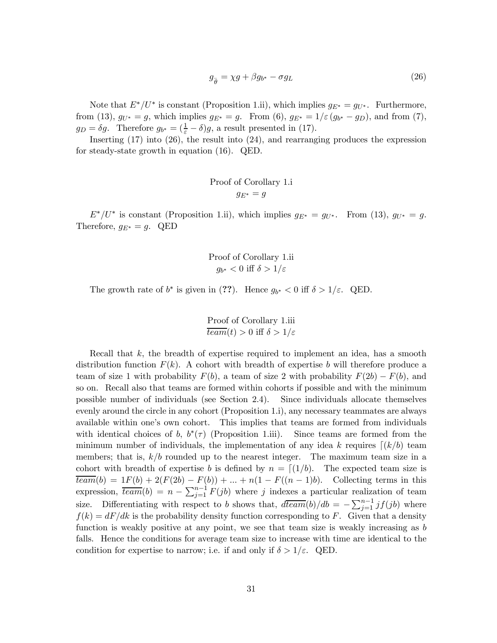$$
g_{\overline{\theta}} = \chi g + \beta g_{b^*} - \sigma g_L \tag{26}
$$

Note that  $E^*/U^*$  is constant (Proposition 1.ii), which implies  $g_{E^*} = g_{U^*}$ . Furthermore, from (13),  $g_{U^*} = g$ , which implies  $g_{E^*} = g$ . From (6),  $g_{E^*} = 1/\varepsilon (g_{b^*} - g_D)$ , and from (7),  $g_D = \delta g$ . Therefore  $g_{b^*} = (\frac{1}{\varepsilon} - \delta)g$ , a result presented in (17).

Inserting (17) into (26), the result into (24), and rearranging produces the expression for steady-state growth in equation (16). QED.

Proof of Corollary 1.i  

$$
g_{E^*} = g
$$

 $E^*/U^*$  is constant (Proposition 1.ii), which implies  $g_{E^*} = g_{U^*}$ . From (13),  $g_{U^*} = g$ . Therefore,  $g_{E^*} = g$ . QED

> Proof of Corollary 1.ii  $g_{b^*} < 0$  iff  $\delta > 1/\varepsilon$

The growth rate of  $b^*$  is given in (??). Hence  $g_{b^*} < 0$  iff  $\delta > 1/\varepsilon$ . QED.

Proof of Corollary 1.iii  

$$
\frac{team(t) > 0 \text{ iff } \delta > 1/\varepsilon}
$$

Recall that k, the breadth of expertise required to implement an idea, has a smooth distribution function  $F(k)$ . A cohort with breadth of expertise b will therefore produce a team of size 1 with probability  $F(b)$ , a team of size 2 with probability  $F(2b) - F(b)$ , and so on. Recall also that teams are formed within cohorts if possible and with the minimum possible number of individuals (see Section 2.4). Since individuals allocate themselves evenly around the circle in any cohort (Proposition 1.i), any necessary teammates are always available within one's own cohort. This implies that teams are formed from individuals with identical choices of b,  $b^*(\tau)$  (Proposition 1.iii). Since teams are formed from the minimum number of individuals, the implementation of any idea k requires  $\lceil (k/b) \rceil$  team members; that is,  $k/b$  rounded up to the nearest integer. The maximum team size in a cohort with breadth of expertise b is defined by  $n = \lfloor (1/b) \rfloor$ . The expected team size is  $\overline{team}(b) = 1F(b) + 2(F(2b) - F(b)) + ... + n(1 - F((n - 1)b).$  Collecting terms in this expression,  $\overline{team}(b) = n - \sum_{j=1}^{n-1} F(jb)$  where j indexes a particular realization of team size. Differentiating with respect to b shows that,  $d\overline{team}(b)/db = -\sum_{j=1}^{n-1} jf(jb)$  where  $f(k) = dF/dk$  is the probability density function corresponding to F. Given that a density function is weakly positive at any point, we see that team size is weakly increasing as b falls. Hence the conditions for average team size to increase with time are identical to the condition for expertise to narrow; i.e. if and only if  $\delta > 1/\varepsilon$ . QED.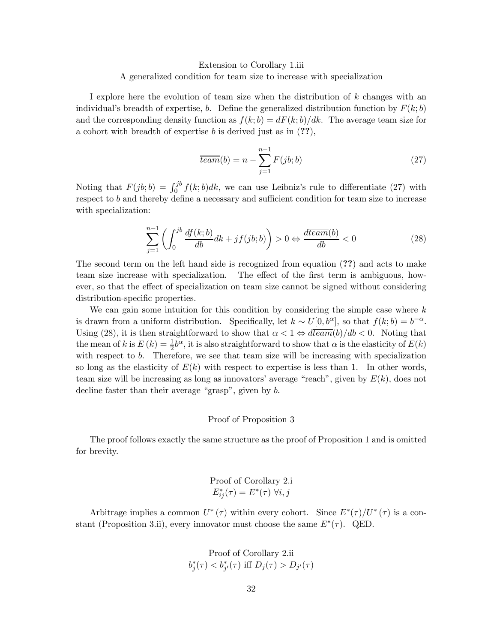#### Extension to Corollary 1.iii

#### A generalized condition for team size to increase with specialization

I explore here the evolution of team size when the distribution of k changes with an individual's breadth of expertise, b. Define the generalized distribution function by  $F(k; b)$ and the corresponding density function as  $f(k; b) = dF(k; b)/dk$ . The average team size for a cohort with breadth of expertise b is derived just as in  $(??)$ ,

$$
\overline{team}(b) = n - \sum_{j=1}^{n-1} F(jb; b)
$$
\n
$$
(27)
$$

Noting that  $F(jb; b) = \int_0^{jb} f(k; b)dk$ , we can use Leibniz's rule to differentiate (27) with respect to  $b$  and thereby define a necessary and sufficient condition for team size to increase with specialization:

$$
\sum_{j=1}^{n-1} \left( \int_0^{jb} \frac{df(k;b)}{db} dk + jf(jb;b) \right) > 0 \Leftrightarrow \frac{d\tan(b)}{db} < 0 \tag{28}
$$

The second term on the left hand side is recognized from equation (??) and acts to make team size increase with specialization. The effect of the first term is ambiguous, however, so that the effect of specialization on team size cannot be signed without considering distribution-specific properties.

We can gain some intuition for this condition by considering the simple case where  $k$ is drawn from a uniform distribution. Specifically, let  $k \sim U[0, b^{\alpha}]$ , so that  $f(k; b) = b^{-\alpha}$ . Using (28), it is then straightforward to show that  $\alpha < 1 \Leftrightarrow d \overline{team}(b)/db < 0$ . Noting that the mean of k is  $E(k) = \frac{1}{2}b^{\alpha}$ , it is also straightforward to show that  $\alpha$  is the elasticity of  $E(k)$ with respect to  $b$ . Therefore, we see that team size will be increasing with specialization so long as the elasticity of  $E(k)$  with respect to expertise is less than 1. In other words, team size will be increasing as long as innovators' average "reach", given by  $E(k)$ , does not decline faster than their average "grasp", given by b.

#### Proof of Proposition 3

The proof follows exactly the same structure as the proof of Proposition 1 and is omitted for brevity.

Proof of Corollary 2.i  

$$
E_{ij}^*(\tau) = E^*(\tau) \,\forall i, j
$$

Arbitrage implies a common  $U^*(\tau)$  within every cohort. Since  $E^*(\tau)/U^*(\tau)$  is a constant (Proposition 3.ii), every innovator must choose the same  $E^*(\tau)$ . QED.

Proof of Corollary 2.ii  

$$
b_j^*(\tau) < b_{j'}^*(\tau) \text{ iff } D_j(\tau) > D_{j'}(\tau)
$$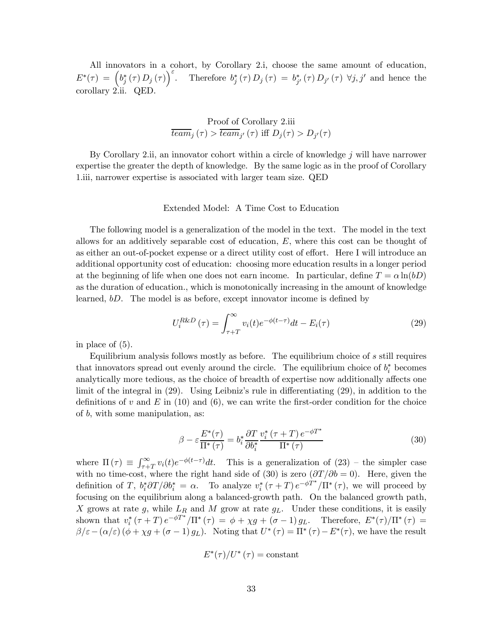All innovators in a cohort, by Corollary 2.i, choose the same amount of education,  $E^*(\tau) = \left(b_j^*(\tau) D_j(\tau)\right)^{\varepsilon}$ . Therefore  $b_j^*(\tau) D_j(\tau) = b_{j'}^*(\tau) D_{j'}(\tau) \ \forall j, j'$  and hence the corollary 2.ii. QED.

Proof of Corollary 2.iii  

$$
\overline{team}_j(\tau) > \overline{team}_{j'}(\tau) \text{ iff } D_j(\tau) > D_{j'}(\tau)
$$

By Corollary 2.ii, an innovator cohort within a circle of knowledge  $j$  will have narrower expertise the greater the depth of knowledge. By the same logic as in the proof of Corollary 1.iii, narrower expertise is associated with larger team size. QED

#### Extended Model: A Time Cost to Education

The following model is a generalization of the model in the text. The model in the text allows for an additively separable cost of education, E, where this cost can be thought of as either an out-of-pocket expense or a direct utility cost of effort. Here I will introduce an additional opportunity cost of education: choosing more education results in a longer period at the beginning of life when one does not earn income. In particular, define  $T = \alpha \ln(bD)$ as the duration of education., which is monotonically increasing in the amount of knowledge learned, bD. The model is as before, except innovator income is defined by

$$
U_i^{R\&D}(\tau) = \int_{\tau+T}^{\infty} v_i(t)e^{-\phi(t-\tau)}dt - E_i(\tau)
$$
\n(29)

in place of (5).

Equilibrium analysis follows mostly as before. The equilibrium choice of s still requires that innovators spread out evenly around the circle. The equilibrium choice of  $b_i^*$  becomes analytically more tedious, as the choice of breadth of expertise now additionally affects one limit of the integral in (29). Using Leibniz's rule in differentiating (29), in addition to the definitions of v and  $E$  in (10) and (6), we can write the first-order condition for the choice of b, with some manipulation, as:

$$
\beta - \varepsilon \frac{E^*(\tau)}{\Pi^*(\tau)} = b_i^* \frac{\partial T}{\partial b_i^*} \frac{v_i^* \left(\tau + T\right) e^{-\phi T^*}}{\Pi^*(\tau)}
$$
(30)

where  $\Pi(\tau) \equiv \int_{\tau+T}^{\infty} v_i(t) e^{-\phi(t-\tau)} dt$ . This is a generalization of  $(23)$  – the simpler case with no time-cost, where the right hand side of (30) is zero  $(\partial T/\partial b = 0)$ . Here, given the definition of T,  $b_i^* \partial T/\partial b_i^* = \alpha$ . To analyze  $v_i^* (\tau + T) e^{-\phi T^*}/\Pi^* (\tau)$ , we will proceed by focusing on the equilibrium along a balanced-growth path. On the balanced growth path, X grows at rate g, while  $L_R$  and M grow at rate  $g_L$ . Under these conditions, it is easily shown that  $v_i^* (\tau + T) e^{-\phi T^*}/\Pi^* (\tau) = \phi + \chi g + (\sigma - 1) g_L$ . Therefore,  $E^* (\tau)/\Pi^* (\tau) =$  $\beta/\varepsilon-(\alpha/\varepsilon)(\phi+\chi g+(\sigma-1)g_L)$ . Noting that  $U^*(\tau)=\Pi^*(\tau)-E^*(\tau)$ , we have the result

$$
E^*(\tau)/U^*\left(\tau\right)={\rm constant}
$$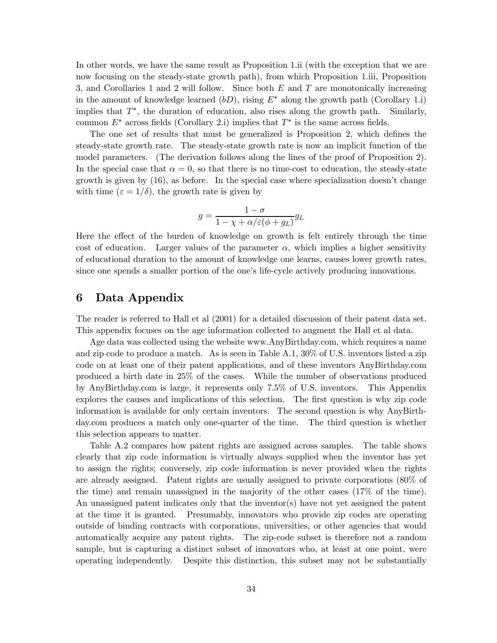In other words, we have the same result as Proposition 1.ii (with the exception that we are now focusing on the steady-state growth path), from which Proposition 1.iii, Proposition 3, and Corollaries 1 and 2 will follow. Since both  $E$  and  $T$  are monotonically increasing in the amount of knowledge learned  $(bD)$ , rising  $E^*$  along the growth path (Corollary 1.i) implies that  $T^*$ , the duration of education, also rises along the growth path. Similarly, common  $E^*$  across fields (Corollary 2.i) implies that  $T^*$  is the same across fields.

The one set of results that must be generalized is Proposition 2, which defines the steady-state growth rate. The steady-state growth rate is now an implicit function of the model parameters. (The derivation follows along the lines of the proof of Proposition 2). In the special case that  $\alpha = 0$ , so that there is no time-cost to education, the steady-state growth is given by (16), as before. In the special case where specialization doesn't change with time  $(\varepsilon = 1/\delta)$ , the growth rate is given by

$$
g = \frac{1 - \sigma}{1 - \chi + \alpha/\varepsilon(\phi + g_L)} g_L
$$

Here the effect of the burden of knowledge on growth is felt entirely through the time cost of education. Larger values of the parameter  $\alpha$ , which implies a higher sensitivity of educational duration to the amount of knowledge one learns, causes lower growth rates, since one spends a smaller portion of the one's life-cycle actively producing innovations.

# 6 Data Appendix

The reader is referred to Hall et al (2001) for a detailed discussion of their patent data set. This appendix focuses on the age information collected to augment the Hall et al data.

Age data was collected using the website www.AnyBirthday.com, which requires a name and zip code to produce a match. As is seen in Table A.1, 30% of U.S. inventors listed a zip code on at least one of their patent applications, and of these inventors AnyBirthday.com produced a birth date in 25% of the cases. While the number of observations produced by AnyBirthday.com is large, it represents only 7.5% of U.S. inventors. This Appendix explores the causes and implications of this selection. The first question is why zip code information is available for only certain inventors. The second question is why AnyBirthday.com produces a match only one-quarter of the time. The third question is whether this selection appears to matter.

Table A.2 compares how patent rights are assigned across samples. The table shows clearly that zip code information is virtually always supplied when the inventor has yet to assign the rights; conversely, zip code information is never provided when the rights are already assigned. Patent rights are usually assigned to private corporations (80% of the time) and remain unassigned in the majority of the other cases (17% of the time). An unassigned patent indicates only that the inventor(s) have not yet assigned the patent at the time it is granted. Presumably, innovators who provide zip codes are operating outside of binding contracts with corporations, universities, or other agencies that would automatically acquire any patent rights. The zip-code subset is therefore not a random sample, but is capturing a distinct subset of innovators who, at least at one point, were operating independently. Despite this distinction, this subset may not be substantially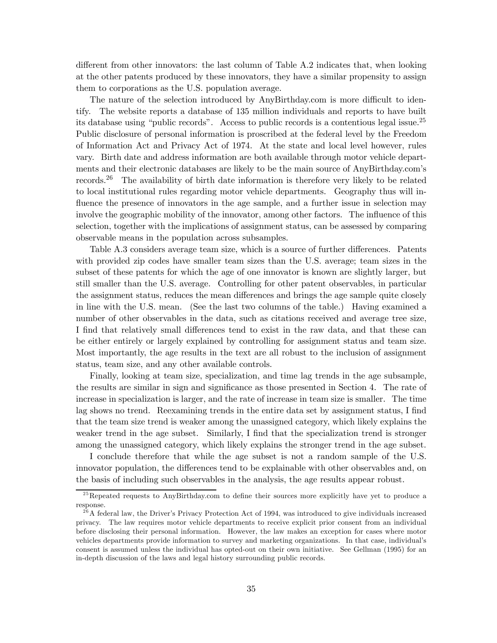different from other innovators: the last column of Table A.2 indicates that, when looking at the other patents produced by these innovators, they have a similar propensity to assign them to corporations as the U.S. population average.

The nature of the selection introduced by AnyBirthday.com is more difficult to identify. The website reports a database of 135 million individuals and reports to have built its database using "public records". Access to public records is a contentious legal issue.25 Public disclosure of personal information is proscribed at the federal level by the Freedom of Information Act and Privacy Act of 1974. At the state and local level however, rules vary. Birth date and address information are both available through motor vehicle departments and their electronic databases are likely to be the main source of AnyBirthday.com's records.26 The availability of birth date information is therefore very likely to be related to local institutional rules regarding motor vehicle departments. Geography thus will influence the presence of innovators in the age sample, and a further issue in selection may involve the geographic mobility of the innovator, among other factors. The influence of this selection, together with the implications of assignment status, can be assessed by comparing observable means in the population across subsamples.

Table A.3 considers average team size, which is a source of further differences. Patents with provided zip codes have smaller team sizes than the U.S. average; team sizes in the subset of these patents for which the age of one innovator is known are slightly larger, but still smaller than the U.S. average. Controlling for other patent observables, in particular the assignment status, reduces the mean differences and brings the age sample quite closely in line with the U.S. mean. (See the last two columns of the table.) Having examined a number of other observables in the data, such as citations received and average tree size, I find that relatively small differences tend to exist in the raw data, and that these can be either entirely or largely explained by controlling for assignment status and team size. Most importantly, the age results in the text are all robust to the inclusion of assignment status, team size, and any other available controls.

Finally, looking at team size, specialization, and time lag trends in the age subsample, the results are similar in sign and significance as those presented in Section 4. The rate of increase in specialization is larger, and the rate of increase in team size is smaller. The time lag shows no trend. Reexamining trends in the entire data set by assignment status, I find that the team size trend is weaker among the unassigned category, which likely explains the weaker trend in the age subset. Similarly, I find that the specialization trend is stronger among the unassigned category, which likely explains the stronger trend in the age subset.

I conclude therefore that while the age subset is not a random sample of the U.S. innovator population, the differences tend to be explainable with other observables and, on the basis of including such observables in the analysis, the age results appear robust.

 $^{25}$ Repeated requests to AnyBirthday.com to define their sources more explicitly have yet to produce a response.

 $2^6$ A federal law, the Driver's Privacy Protection Act of 1994, was introduced to give individuals increased privacy. The law requires motor vehicle departments to receive explicit prior consent from an individual before disclosing their personal information. However, the law makes an exception for cases where motor vehicles departments provide information to survey and marketing organizations. In that case, individual's consent is assumed unless the individual has opted-out on their own initiative. See Gellman (1995) for an in-depth discussion of the laws and legal history surrounding public records.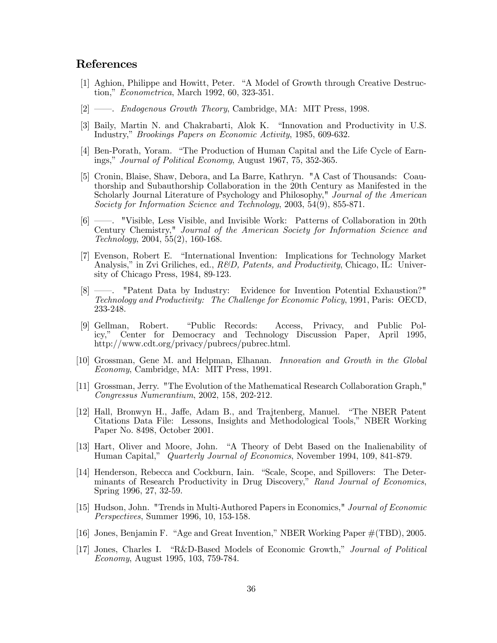# References

- [1] Aghion, Philippe and Howitt, Peter. "A Model of Growth through Creative Destruction," Econometrica, March 1992, 60, 323-351.
- [2] ––. Endogenous Growth Theory, Cambridge, MA: MIT Press, 1998.
- [3] Baily, Martin N. and Chakrabarti, Alok K. "Innovation and Productivity in U.S. Industry," Brookings Papers on Economic Activity, 1985, 609-632.
- [4] Ben-Porath, Yoram. "The Production of Human Capital and the Life Cycle of Earnings," Journal of Political Economy, August 1967, 75, 352-365.
- [5] Cronin, Blaise, Shaw, Debora, and La Barre, Kathryn. "A Cast of Thousands: Coauthorship and Subauthorship Collaboration in the 20th Century as Manifested in the Scholarly Journal Literature of Psychology and Philosophy," Journal of the American Society for Information Science and Technology, 2003, 54(9), 855-871.
- [6] ––. "Visible, Less Visible, and Invisible Work: Patterns of Collaboration in 20th Century Chemistry," Journal of the American Society for Information Science and Technology, 2004, 55(2), 160-168.
- [7] Evenson, Robert E. "International Invention: Implications for Technology Market Analysis," in Zvi Griliches, ed.,  $R\&D$ , Patents, and Productivity, Chicago, IL: University of Chicago Press, 1984, 89-123.
- [8] ––. "Patent Data by Industry: Evidence for Invention Potential Exhaustion?" Technology and Productivity: The Challenge for Economic Policy, 1991, Paris: OECD, 233-248.
- [9] Gellman, Robert. "Public Records: Access, Privacy, and Public Policy," Center for Democracy and Technology Discussion Paper, April 1995, http://www.cdt.org/privacy/pubrecs/pubrec.html.
- [10] Grossman, Gene M. and Helpman, Elhanan. Innovation and Growth in the Global Economy, Cambridge, MA: MIT Press, 1991.
- [11] Grossman, Jerry. "The Evolution of the Mathematical Research Collaboration Graph," Congressus Numerantium, 2002, 158, 202-212.
- [12] Hall, Bronwyn H., Jaffe, Adam B., and Trajtenberg, Manuel. "The NBER Patent Citations Data File: Lessons, Insights and Methodological Tools," NBER Working Paper No. 8498, October 2001.
- [13] Hart, Oliver and Moore, John. "A Theory of Debt Based on the Inalienability of Human Capital," Quarterly Journal of Economics, November 1994, 109, 841-879.
- [14] Henderson, Rebecca and Cockburn, Iain. "Scale, Scope, and Spillovers: The Determinants of Research Productivity in Drug Discovery," Rand Journal of Economics, Spring 1996, 27, 32-59.
- [15] Hudson, John. "Trends in Multi-Authored Papers in Economics," Journal of Economic Perspectives, Summer 1996, 10, 153-158.
- [16] Jones, Benjamin F. "Age and Great Invention," NBER Working Paper #(TBD), 2005.
- [17] Jones, Charles I. "R&D-Based Models of Economic Growth," Journal of Political Economy, August 1995, 103, 759-784.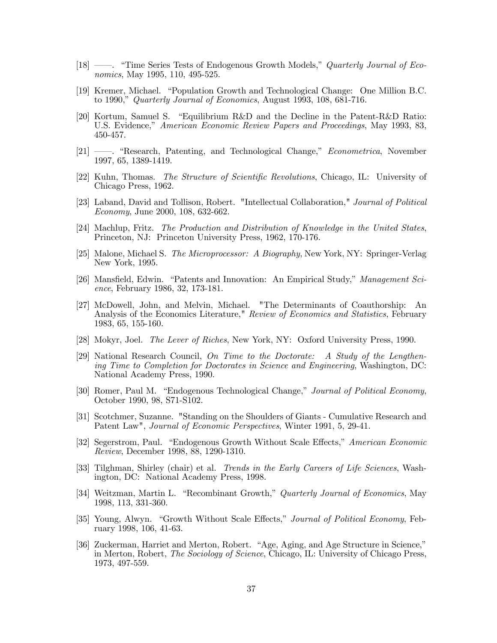- [18] ——. "Time Series Tests of Endogenous Growth Models," *Quarterly Journal of Eco*nomics, May 1995, 110, 495-525.
- [19] Kremer, Michael. "Population Growth and Technological Change: One Million B.C. to 1990," Quarterly Journal of Economics, August 1993, 108, 681-716.
- [20] Kortum, Samuel S. "Equilibrium R&D and the Decline in the Patent-R&D Ratio: U.S. Evidence," American Economic Review Papers and Proceedings, May 1993, 83, 450-457.
- [21] ––. "Research, Patenting, and Technological Change," Econometrica, November 1997, 65, 1389-1419.
- [22] Kuhn, Thomas. The Structure of Scientific Revolutions, Chicago, IL: University of Chicago Press, 1962.
- [23] Laband, David and Tollison, Robert. "Intellectual Collaboration," Journal of Political Economy, June 2000, 108, 632-662.
- [24] Machlup, Fritz. The Production and Distribution of Knowledge in the United States, Princeton, NJ: Princeton University Press, 1962, 170-176.
- [25] Malone, Michael S. The Microprocessor: A Biography, New York, NY: Springer-Verlag New York, 1995.
- [26] Mansfield, Edwin. "Patents and Innovation: An Empirical Study," Management Science, February 1986, 32, 173-181.
- [27] McDowell, John, and Melvin, Michael. "The Determinants of Coauthorship: An Analysis of the Economics Literature," *Review of Economics and Statistics*, February 1983, 65, 155-160.
- [28] Mokyr, Joel. The Lever of Riches, New York, NY: Oxford University Press, 1990.
- [29] National Research Council, On Time to the Doctorate: A Study of the Lengthening Time to Completion for Doctorates in Science and Engineering, Washington, DC: National Academy Press, 1990.
- [30] Romer, Paul M. "Endogenous Technological Change," Journal of Political Economy, October 1990, 98, S71-S102.
- [31] Scotchmer, Suzanne. "Standing on the Shoulders of Giants Cumulative Research and Patent Law", Journal of Economic Perspectives, Winter 1991, 5, 29-41.
- [32] Segerstrom, Paul. "Endogenous Growth Without Scale Effects," American Economic Review, December 1998, 88, 1290-1310.
- [33] Tilghman, Shirley (chair) et al. *Trends in the Early Careers of Life Sciences*, Washington, DC: National Academy Press, 1998.
- [34] Weitzman, Martin L. "Recombinant Growth," Quarterly Journal of Economics, May 1998, 113, 331-360.
- [35] Young, Alwyn. "Growth Without Scale Effects," Journal of Political Economy, February 1998, 106, 41-63.
- [36] Zuckerman, Harriet and Merton, Robert. "Age, Aging, and Age Structure in Science," in Merton, Robert, The Sociology of Science, Chicago, IL: University of Chicago Press, 1973, 497-559.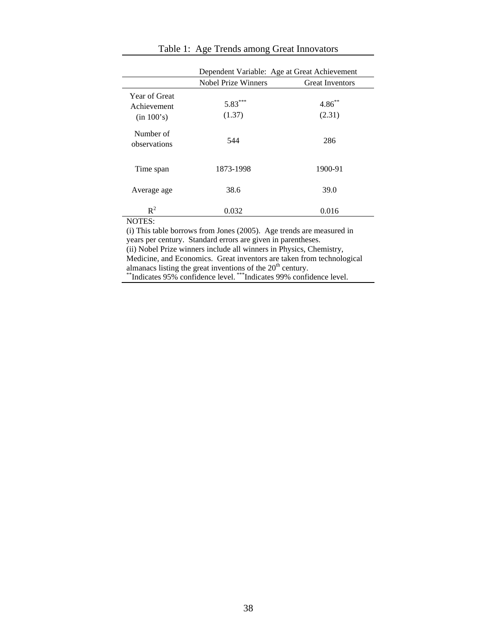|                                            | Dependent Variable: Age at Great Achievement |                        |  |  |  |  |  |  |  |
|--------------------------------------------|----------------------------------------------|------------------------|--|--|--|--|--|--|--|
|                                            | <b>Nobel Prize Winners</b>                   | <b>Great Inventors</b> |  |  |  |  |  |  |  |
| Year of Great<br>Achievement<br>(in 100's) | $5.83***$<br>(1.37)                          | $4.86^{**}$<br>(2.31)  |  |  |  |  |  |  |  |
| Number of<br>observations                  | 544                                          | 286                    |  |  |  |  |  |  |  |
| Time span                                  | 1873-1998                                    | 1900-91                |  |  |  |  |  |  |  |
| Average age                                | 38.6                                         | 39.0                   |  |  |  |  |  |  |  |
| $R^2$<br>NOTFC.                            | 0.032                                        | 0.016                  |  |  |  |  |  |  |  |

# Table 1: Age Trends among Great Innovators

NOTES:

(i) This table borrows from Jones (2005). Age trends are measured in years per century. Standard errors are given in parentheses. (ii) Nobel Prize winners include all winners in Physics, Chemistry, Medicine, and Economics. Great inventors are taken from technological

almanacs listing the great inventions of the 20<sup>th</sup> century.<br>\*\*Indicates 95% confidence level. \*\*\*Indicates 99% confidence level.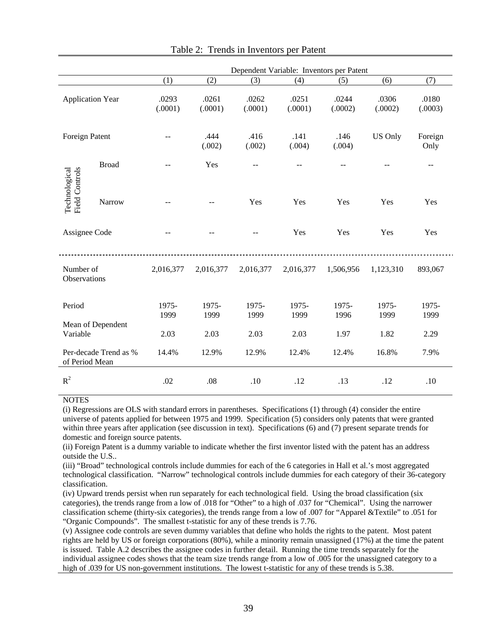|                                        |                       | Dependent Variable: Inventors per Patent |                  |                  |                  |                  |                  |                  |  |  |  |
|----------------------------------------|-----------------------|------------------------------------------|------------------|------------------|------------------|------------------|------------------|------------------|--|--|--|
|                                        |                       | (1)                                      | (2)              | (3)              | (4)              | (5)              | (6)              | (7)              |  |  |  |
| <b>Application Year</b>                |                       | .0293<br>(.0001)                         | .0261<br>(.0001) | .0262<br>(.0001) | .0251<br>(.0001) | .0244<br>(.0002) | .0306<br>(.0002) | .0180<br>(.0003) |  |  |  |
| Foreign Patent                         |                       |                                          | .444<br>(.002)   | .416<br>(.002)   | .141<br>(.004)   | .146<br>(.004)   | <b>US Only</b>   | Foreign<br>Only  |  |  |  |
| <b>Field Controls</b><br>Technological | <b>Broad</b>          |                                          | Yes              | --               | --               |                  |                  | --               |  |  |  |
|                                        | Narrow                |                                          |                  | Yes              | Yes              | Yes              | Yes              | Yes              |  |  |  |
| Assignee Code                          |                       |                                          |                  | $-$              | Yes              | Yes              | Yes              | Yes              |  |  |  |
| Number of<br>Observations              |                       | 2,016,377                                | 2,016,377        | 2,016,377        | 2,016,377        | 1,506,956        | 1,123,310        | 893,067          |  |  |  |
| Period                                 |                       | 1975-<br>1999                            | 1975-<br>1999    | 1975-<br>1999    | 1975-<br>1999    | 1975-<br>1996    | 1975-<br>1999    | 1975-<br>1999    |  |  |  |
| Variable                               | Mean of Dependent     | 2.03                                     | 2.03             | 2.03             | 2.03             | 1.97             | 1.82             | 2.29             |  |  |  |
| of Period Mean                         | Per-decade Trend as % | 14.4%                                    | 12.9%            | 12.9%            | 12.4%            | 12.4%            | 16.8%            | 7.9%             |  |  |  |
| $R^2$                                  |                       | .02                                      | .08              | .10              | .12              | .13              | .12              | .10              |  |  |  |

(i) Regressions are OLS with standard errors in parentheses. Specifications (1) through (4) consider the entire universe of patents applied for between 1975 and 1999. Specification (5) considers only patents that were granted within three years after application (see discussion in text). Specifications (6) and (7) present separate trends for domestic and foreign source patents.

(ii) Foreign Patent is a dummy variable to indicate whether the first inventor listed with the patent has an address outside the U.S..

(iii) "Broad" technological controls include dummies for each of the 6 categories in Hall et al.'s most aggregated technological classification. "Narrow" technological controls include dummies for each category of their 36-category classification.

(iv) Upward trends persist when run separately for each technological field. Using the broad classification (six categories), the trends range from a low of .018 for "Other" to a high of .037 for "Chemical". Using the narrower classification scheme (thirty-six categories), the trends range from a low of .007 for "Apparel &Textile" to .051 for "Organic Compounds". The smallest t-statistic for any of these trends is 7.76.

(v) Assignee code controls are seven dummy variables that define who holds the rights to the patent. Most patent rights are held by US or foreign corporations (80%), while a minority remain unassigned (17%) at the time the patent is issued. Table A.2 describes the assignee codes in further detail. Running the time trends separately for the individual assignee codes shows that the team size trends range from a low of .005 for the unassigned category to a high of .039 for US non-government institutions. The lowest t-statistic for any of these trends is 5.38.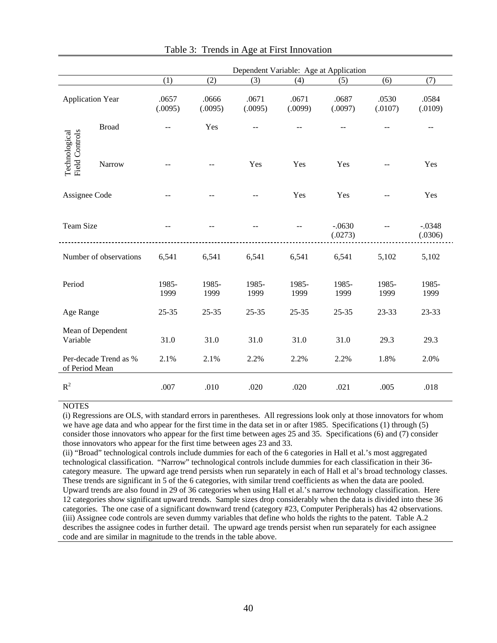|                                        |                        | Dependent Variable: Age at Application |                  |                  |                  |                     |                  |                     |  |  |  |  |
|----------------------------------------|------------------------|----------------------------------------|------------------|------------------|------------------|---------------------|------------------|---------------------|--|--|--|--|
|                                        |                        | (1)                                    | (2)              | (3)              | (4)              | (5)                 | (6)              | (7)                 |  |  |  |  |
| <b>Application Year</b>                |                        | .0657<br>(.0095)                       | .0666<br>(.0095) | .0671<br>(.0095) | .0671<br>(.0099) | .0687<br>(.0097)    | .0530<br>(.0107) | .0584<br>(.0109)    |  |  |  |  |
|                                        | <b>Broad</b>           | $\overline{a}$                         | Yes              |                  | $=$              |                     |                  | $\sim$              |  |  |  |  |
| <b>Field Controls</b><br>Technological | Narrow                 |                                        |                  | Yes              | Yes              | Yes                 |                  | Yes                 |  |  |  |  |
| Assignee Code                          |                        |                                        |                  | --               | Yes              | Yes                 |                  | Yes                 |  |  |  |  |
| <b>Team Size</b>                       |                        |                                        |                  |                  |                  | $-.0630$<br>(.0273) |                  | $-.0348$<br>(.0306) |  |  |  |  |
|                                        | Number of observations | 6,541                                  | 6,541            | 6,541            | 6,541            | 6,541               | 5,102            | 5,102               |  |  |  |  |
| Period                                 |                        | 1985-<br>1999                          | 1985-<br>1999    | 1985-<br>1999    | 1985-<br>1999    | 1985-<br>1999       | 1985-<br>1999    | 1985-<br>1999       |  |  |  |  |
| Age Range                              |                        | $25 - 35$                              | $25 - 35$        | $25 - 35$        | $25 - 35$        | $25 - 35$           | 23-33            | 23-33               |  |  |  |  |
| Variable                               | Mean of Dependent      | 31.0                                   | 31.0             | 31.0             | 31.0             | 31.0                | 29.3             | 29.3                |  |  |  |  |
| of Period Mean                         | Per-decade Trend as %  | 2.1%                                   | 2.1%             | 2.2%             | 2.2%             | 2.2%                | 1.8%             | 2.0%                |  |  |  |  |
| $R^2$                                  |                        | .007                                   | .010             | .020             | .020             | .021                | .005             | .018                |  |  |  |  |

Table 3: Trends in Age at First Innovation

(i) Regressions are OLS, with standard errors in parentheses. All regressions look only at those innovators for whom we have age data and who appear for the first time in the data set in or after 1985. Specifications (1) through (5) consider those innovators who appear for the first time between ages 25 and 35. Specifications (6) and (7) consider those innovators who appear for the first time between ages 23 and 33.

(ii) "Broad" technological controls include dummies for each of the 6 categories in Hall et al.'s most aggregated technological classification. "Narrow" technological controls include dummies for each classification in their 36 category measure. The upward age trend persists when run separately in each of Hall et al's broad technology classes. These trends are significant in 5 of the 6 categories, with similar trend coefficients as when the data are pooled. Upward trends are also found in 29 of 36 categories when using Hall et al.'s narrow technology classification. Here 12 categories show significant upward trends. Sample sizes drop considerably when the data is divided into these 36 categories. The one case of a significant downward trend (category #23, Computer Peripherals) has 42 observations. (iii) Assignee code controls are seven dummy variables that define who holds the rights to the patent. Table A.2 describes the assignee codes in further detail. The upward age trends persist when run separately for each assignee code and are similar in magnitude to the trends in the table above.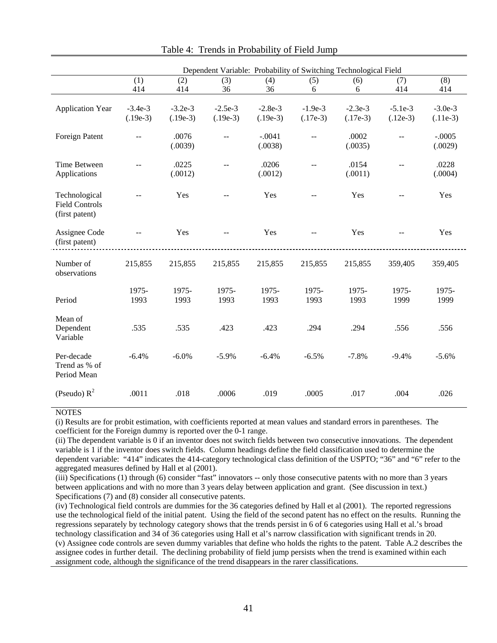|                                                          | Dependent Variable: Probability of Switching Technological Field |                         |                         |                         |                         |                         |                         |                         |  |  |  |  |
|----------------------------------------------------------|------------------------------------------------------------------|-------------------------|-------------------------|-------------------------|-------------------------|-------------------------|-------------------------|-------------------------|--|--|--|--|
|                                                          | (1)<br>414                                                       | (2)<br>414              | (3)<br>36               | (4)<br>36               | (5)<br>6                | (6)<br>6                | (7)<br>414              | (8)<br>414              |  |  |  |  |
| <b>Application Year</b>                                  | $-3.4e-3$<br>$(.19e-3)$                                          | $-3.2e-3$<br>$(.19e-3)$ | $-2.5e-3$<br>$(.19e-3)$ | $-2.8e-3$<br>$(.19e-3)$ | $-1.9e-3$<br>$(.17e-3)$ | $-2.3e-3$<br>$(.17e-3)$ | $-5.1e-3$<br>$(.12e-3)$ | $-3.0e-3$<br>$(.11e-3)$ |  |  |  |  |
| Foreign Patent                                           | $-$                                                              | .0076<br>(.0039)        | $-$                     | $-.0041$<br>(.0038)     | $\sim$                  | .0002<br>(.0035)        | $\sim$ $\sim$           | $-.0005$<br>(.0029)     |  |  |  |  |
| Time Between<br>Applications                             |                                                                  | .0225<br>(.0012)        | $\overline{a}$          | .0206<br>(.0012)        | $-$                     | .0154<br>(.0011)        | $-$                     | .0228<br>(.0004)        |  |  |  |  |
| Technological<br><b>Field Controls</b><br>(first patent) |                                                                  | Yes                     |                         | Yes                     |                         | Yes                     |                         | Yes                     |  |  |  |  |
| Assignee Code<br>(first patent)                          | $\mathbb{L}^{\mathbb{L}}$                                        | Yes                     | $\sim$ $\sim$           | Yes                     | $-$                     | Yes                     |                         | Yes                     |  |  |  |  |
| Number of<br>observations                                | 215,855                                                          | 215,855                 | 215,855                 | 215,855                 | 215,855                 | 215,855                 | 359,405                 | 359,405                 |  |  |  |  |
| Period                                                   | 1975-<br>1993                                                    | 1975-<br>1993           | 1975-<br>1993           | 1975-<br>1993           | 1975-<br>1993           | 1975-<br>1993           | 1975-<br>1999           | 1975-<br>1999           |  |  |  |  |
| Mean of<br>Dependent<br>Variable                         | .535                                                             | .535                    | .423                    | .423                    | .294                    | .294                    | .556                    | .556                    |  |  |  |  |
| Per-decade<br>Trend as % of<br>Period Mean               | $-6.4%$                                                          | $-6.0\%$                | $-5.9%$                 | $-6.4%$                 | $-6.5%$                 | $-7.8%$                 | $-9.4%$                 | $-5.6%$                 |  |  |  |  |
| (Pseudo) $R^2$                                           | .0011                                                            | .018                    | .0006                   | .019                    | .0005                   | .017                    | .004                    | .026                    |  |  |  |  |

# Table 4: Trends in Probability of Field Jump

#### **NOTES**

(i) Results are for probit estimation, with coefficients reported at mean values and standard errors in parentheses. The coefficient for the Foreign dummy is reported over the 0-1 range.

(ii) The dependent variable is 0 if an inventor does not switch fields between two consecutive innovations. The dependent variable is 1 if the inventor does switch fields. Column headings define the field classification used to determine the dependent variable: "414" indicates the 414-category technological class definition of the USPTO; "36" and "6" refer to the aggregated measures defined by Hall et al (2001).

(iii) Specifications (1) through (6) consider "fast" innovators -- only those consecutive patents with no more than 3 years between applications and with no more than 3 years delay between application and grant. (See discussion in text.) Specifications (7) and (8) consider all consecutive patents.

(iv) Technological field controls are dummies for the 36 categories defined by Hall et al (2001). The reported regressions use the technological field of the initial patent. Using the field of the second patent has no effect on the results. Running the regressions separately by technology category shows that the trends persist in 6 of 6 categories using Hall et al.'s broad technology classification and 34 of 36 categories using Hall et al's narrow classification with significant trends in 20. (v) Assignee code controls are seven dummy variables that define who holds the rights to the patent. Table A.2 describes the assignee codes in further detail. The declining probability of field jump persists when the trend is examined within each assignment code, although the significance of the trend disappears in the rarer classifications.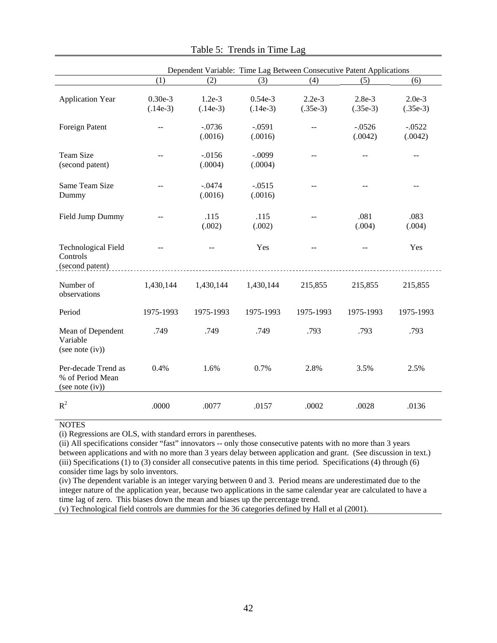|                                                            |                         |                        | Dependent Variable: Time Lag Between Consecutive Patent Applications |                        |                        |                        |
|------------------------------------------------------------|-------------------------|------------------------|----------------------------------------------------------------------|------------------------|------------------------|------------------------|
|                                                            | (1)                     | (2)                    | (3)                                                                  | (4)                    | (5)                    | (6)                    |
| <b>Application Year</b>                                    | $0.30e-3$<br>$(.14e-3)$ | $1.2e-3$<br>$(.14e-3)$ | $0.54e-3$<br>$(.14e-3)$                                              | $2.2e-3$<br>$(.35e-3)$ | $2.8e-3$<br>$(.35e-3)$ | $2.0e-3$<br>$(.35e-3)$ |
| Foreign Patent                                             | --                      | $-.0736$<br>(.0016)    | $-.0591$<br>(.0016)                                                  |                        | $-0.0526$<br>(.0042)   | $-0.0522$<br>(.0042)   |
| <b>Team Size</b><br>(second patent)                        | $=$                     | $-0.0156$<br>(.0004)   | $-.0099$<br>(.0004)                                                  | $=$                    |                        | $-$                    |
| Same Team Size<br>Dummy                                    |                         | $-.0474$<br>(.0016)    | $-.0515$<br>(.0016)                                                  |                        |                        | $=$                    |
| Field Jump Dummy                                           |                         | .115<br>(.002)         | .115<br>(.002)                                                       |                        | .081<br>(.004)         | .083<br>(.004)         |
| <b>Technological Field</b><br>Controls<br>(second patent)  |                         |                        | Yes                                                                  |                        |                        | Yes                    |
| Number of<br>observations                                  | 1,430,144               | 1,430,144              | 1,430,144                                                            | 215,855                | 215,855                | 215,855                |
| Period                                                     | 1975-1993               | 1975-1993              | 1975-1993                                                            | 1975-1993              | 1975-1993              | 1975-1993              |
| Mean of Dependent<br>Variable<br>(see note (iv))           | .749                    | .749                   | .749                                                                 | .793                   | .793                   | .793                   |
| Per-decade Trend as<br>% of Period Mean<br>(see note (iv)) | 0.4%                    | 1.6%                   | 0.7%                                                                 | 2.8%                   | 3.5%                   | 2.5%                   |
| $R^2$                                                      | .0000                   | .0077                  | .0157                                                                | .0002                  | .0028                  | .0136                  |

Table 5: Trends in Time Lag

(i) Regressions are OLS, with standard errors in parentheses.

(ii) All specifications consider "fast" innovators -- only those consecutive patents with no more than 3 years between applications and with no more than 3 years delay between application and grant. (See discussion in text.) (iii) Specifications (1) to (3) consider all consecutive patents in this time period. Specifications (4) through (6) consider time lags by solo inventors.

(iv) The dependent variable is an integer varying between 0 and 3. Period means are underestimated due to the integer nature of the application year, because two applications in the same calendar year are calculated to have a time lag of zero. This biases down the mean and biases up the percentage trend.

(v) Technological field controls are dummies for the 36 categories defined by Hall et al (2001).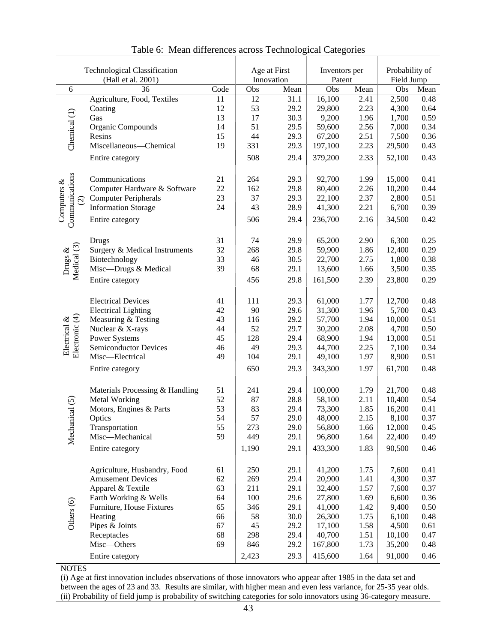|                                | <b>Technological Classification</b><br>(Hall et al. 2001) |      | Age at First<br>Innovation |      | Inventors per<br>Patent |      | Probability of<br>Field Jump |      |
|--------------------------------|-----------------------------------------------------------|------|----------------------------|------|-------------------------|------|------------------------------|------|
| 6                              | 36                                                        | Code | Obs                        | Mean | Obs                     | Mean | Obs                          | Mean |
|                                | Agriculture, Food, Textiles                               | 11   | 12                         | 31.1 | 16,100                  | 2.41 | 2,500                        | 0.48 |
|                                | Coating                                                   | 12   | 53                         | 29.2 | 29,800                  | 2.23 | 4,300                        | 0.64 |
| Chemical (1)                   | Gas                                                       | 13   | 17                         | 30.3 | 9,200                   | 1.96 | 1,700                        | 0.59 |
|                                | Organic Compounds                                         | 14   | 51                         | 29.5 | 59,600                  | 2.56 | 7,000                        | 0.34 |
|                                | Resins                                                    | 15   | 44                         | 29.3 | 67,200                  | 2.51 | 7,500                        | 0.36 |
|                                | Miscellaneous-Chemical                                    | 19   | 331                        | 29.3 | 197,100                 | 2.23 | 29,500                       | 0.43 |
|                                | Entire category                                           |      | 508                        | 29.4 | 379,200                 | 2.33 | 52,100                       | 0.43 |
|                                |                                                           |      |                            |      |                         |      |                              |      |
|                                | Communications                                            | 21   | 264                        | 29.3 | 92,700                  | 1.99 | 15,000                       | 0.41 |
|                                | Computer Hardware & Software                              | 22   | 162                        | 29.8 | 80,400                  | 2.26 | 10,200                       | 0.44 |
| $\widehat{\infty}$             | <b>Computer Peripherals</b>                               | 23   | 37                         | 29.3 | 22,100                  | 2.37 | 2,800                        | 0.51 |
|                                | <b>Information Storage</b>                                | 24   | 43                         | 28.9 | 41,300                  | 2.21 | 6,700                        | 0.39 |
| Communications<br>Computers &  | Entire category                                           |      | 506                        | 29.4 | 236,700                 | 2.16 | 34,500                       | 0.42 |
|                                |                                                           |      |                            |      |                         |      |                              |      |
|                                | Drugs                                                     | 31   | 74                         | 29.9 | 65,200                  | 2.90 | 6,300                        | 0.25 |
|                                | Surgery & Medical Instruments                             | 32   | 268                        | 29.8 | 59,900                  | 1.86 | 12,400                       | 0.29 |
|                                | Biotechnology                                             | 33   | 46                         | 30.5 | 22,700                  | 2.75 | 1,800                        | 0.38 |
| Drugs & $Medical (3)$          | Misc-Drugs & Medical                                      | 39   | 68                         | 29.1 | 13,600                  | 1.66 | 3,500                        | 0.35 |
|                                | Entire category                                           |      | 456                        | 29.8 | 161,500                 | 2.39 | 23,800                       | 0.29 |
|                                |                                                           |      |                            |      |                         |      |                              |      |
|                                | <b>Electrical Devices</b>                                 | 41   | 111                        | 29.3 | 61,000                  | 1.77 | 12,700                       | 0.48 |
|                                | <b>Electrical Lighting</b>                                | 42   | 90                         | 29.6 | 31,300                  | 1.96 | 5,700                        | 0.43 |
| Electronic (4)<br>Electrical & | Measuring & Testing                                       | 43   | 116                        | 29.2 | 57,700                  | 1.94 | 10,000                       | 0.51 |
|                                | Nuclear & X-rays                                          | 44   | 52                         | 29.7 | 30,200                  | 2.08 | 4,700                        | 0.50 |
|                                | Power Systems                                             | 45   | 128                        | 29.4 | 68,900                  | 1.94 | 13,000                       | 0.51 |
|                                | <b>Semiconductor Devices</b>                              | 46   | 49                         | 29.3 | 44,700                  | 2.25 | 7,100                        | 0.34 |
|                                | Misc-Electrical                                           | 49   | 104                        | 29.1 | 49,100                  | 1.97 | 8,900                        | 0.51 |
|                                | Entire category                                           |      | 650                        | 29.3 | 343,300                 | 1.97 | 61,700                       | 0.48 |
|                                |                                                           |      |                            |      |                         |      |                              |      |
|                                | Materials Processing & Handling                           | 51   | 241                        | 29.4 | 100,000                 | 1.79 | 21,700                       | 0.48 |
|                                | <b>Metal Working</b>                                      | 52   | 87                         | 28.8 | 58,100                  | 2.11 | 10,400                       | 0.54 |
|                                | Motors, Engines & Parts                                   | 53   | 83                         | 29.4 | 73,300                  | 1.85 | 16,200                       | 0.41 |
|                                | Optics                                                    | 54   | 57                         | 29.0 | 48,000                  | 2.15 | 8,100                        | 0.37 |
|                                | Transportation                                            | 55   | 273                        | 29.0 | 56,800                  | 1.66 | 12,000                       | 0.45 |
| Mechanical (5)                 | Misc-Mechanical                                           | 59   | 449                        | 29.1 | 96,800                  | 1.64 | 22,400                       | 0.49 |
|                                | Entire category                                           |      | 1,190                      | 29.1 | 433,300                 | 1.83 | 90,500                       | 0.46 |
|                                |                                                           |      |                            |      |                         |      |                              |      |
|                                | Agriculture, Husbandry, Food                              | 61   | 250                        | 29.1 | 41,200                  | 1.75 | 7,600                        | 0.41 |
|                                | <b>Amusement Devices</b>                                  | 62   | 269                        | 29.4 | 20,900                  | 1.41 | 4,300                        | 0.37 |
|                                | Apparel & Textile                                         | 63   | 211                        | 29.1 | 32,400                  | 1.57 | 7,600                        | 0.37 |
|                                | Earth Working & Wells                                     | 64   | 100                        | 29.6 | 27,800                  | 1.69 | 6,600                        | 0.36 |
|                                | Furniture, House Fixtures                                 | 65   | 346                        | 29.1 | 41,000                  | 1.42 | 9,400                        | 0.50 |
| Others (6)                     | Heating                                                   | 66   | 58                         | 30.0 | 26,300                  | 1.75 | 6,100                        | 0.48 |
|                                | Pipes & Joints                                            | 67   | 45                         | 29.2 | 17,100                  | 1.58 | 4,500                        | 0.61 |
|                                | Receptacles                                               | 68   | 298                        | 29.4 | 40,700                  | 1.51 | 10,100                       | 0.47 |
|                                | Misc-Others                                               | 69   | 846                        | 29.2 | 167,800                 | 1.73 | 35,200                       | 0.48 |
|                                | Entire category                                           |      | 2,423                      | 29.3 | 415,600                 | 1.64 | 91,000                       | 0.46 |

Table 6: Mean differences across Technological Categories

(i) Age at first innovation includes observations of those innovators who appear after 1985 in the data set and between the ages of 23 and 33. Results are similar, with higher mean and even less variance, for 25-35 year olds. (ii) Probability of field jump is probability of switching categories for solo innovators using 36-category measure.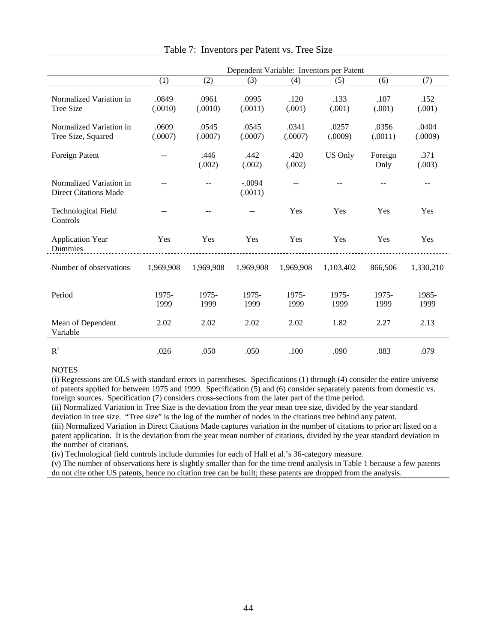|                                                         | Dependent Variable: Inventors per Patent |                  |                     |                  |                  |                  |                  |  |  |  |  |
|---------------------------------------------------------|------------------------------------------|------------------|---------------------|------------------|------------------|------------------|------------------|--|--|--|--|
|                                                         | (1)                                      | (2)              | (3)                 | (4)              | (5)              | (6)              | (7)              |  |  |  |  |
| Normalized Variation in<br>Tree Size                    | .0849<br>(.0010)                         | .0961<br>(.0010) | .0995<br>(.0011)    | .120<br>(.001)   | .133<br>(.001)   | .107<br>(.001)   | .152<br>(.001)   |  |  |  |  |
| Normalized Variation in<br>Tree Size, Squared           | .0609<br>(.0007)                         | .0545<br>(.0007) | .0545<br>(.0007)    | .0341<br>(.0007) | .0257<br>(.0009) | .0356<br>(.0011) | .0404<br>(.0009) |  |  |  |  |
| Foreign Patent                                          | $-$                                      | .446<br>(.002)   | .442<br>(.002)      | .420<br>(.002)   | <b>US Only</b>   | Foreign<br>Only  | .371<br>(.003)   |  |  |  |  |
| Normalized Variation in<br><b>Direct Citations Made</b> |                                          |                  | $-.0094$<br>(.0011) |                  |                  |                  | $-$              |  |  |  |  |
| <b>Technological Field</b><br>Controls                  |                                          |                  |                     | Yes              | Yes              | Yes              | Yes              |  |  |  |  |
| <b>Application Year</b><br>Dummies                      | Yes                                      | Yes              | Yes                 | Yes              | Yes              | Yes              | Yes              |  |  |  |  |
| Number of observations                                  | 1,969,908                                | 1,969,908        | 1,969,908           | 1,969,908        | 1,103,402        | 866,506          | 1,330,210        |  |  |  |  |
| Period                                                  | 1975-<br>1999                            | 1975-<br>1999    | 1975-<br>1999       | 1975-<br>1999    | 1975-<br>1999    | 1975-<br>1999    | 1985-<br>1999    |  |  |  |  |
| Mean of Dependent<br>Variable                           | 2.02                                     | 2.02             | 2.02                | 2.02             | 1.82             | 2.27             | 2.13             |  |  |  |  |
| $R^2$                                                   | .026                                     | .050             | .050                | .100             | .090             | .083             | .079             |  |  |  |  |

Table 7: Inventors per Patent vs. Tree Size

(i) Regressions are OLS with standard errors in parentheses. Specifications (1) through (4) consider the entire universe of patents applied for between 1975 and 1999. Specification (5) and (6) consider separately patents from domestic vs. foreign sources. Specification (7) considers cross-sections from the later part of the time period.

(ii) Normalized Variation in Tree Size is the deviation from the year mean tree size, divided by the year standard deviation in tree size. "Tree size" is the log of the number of nodes in the citations tree behind any patent.

(iii) Normalized Variation in Direct Citations Made captures variation in the number of citations to prior art listed on a patent application. It is the deviation from the year mean number of citations, divided by the year standard deviation in the number of citations.

(iv) Technological field controls include dummies for each of Hall et al.'s 36-category measure.

(v) The number of observations here is slightly smaller than for the time trend analysis in Table 1 because a few patents do not cite other US patents, hence no citation tree can be built; these patents are dropped from the analysis.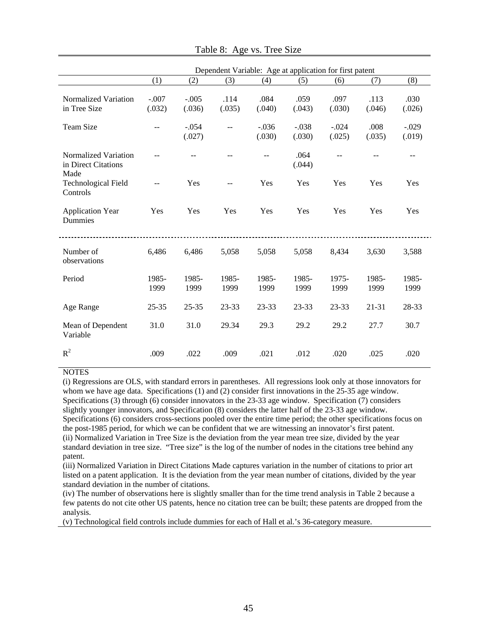|                                                     | Dependent Variable: Age at application for first patent |                   |                |                   |                   |                   |                |                   |  |  |  |
|-----------------------------------------------------|---------------------------------------------------------|-------------------|----------------|-------------------|-------------------|-------------------|----------------|-------------------|--|--|--|
|                                                     | (1)                                                     | (2)               | (3)            | (4)               | (5)               | (6)               | (7)            | (8)               |  |  |  |
| Normalized Variation<br>in Tree Size                | $-.007$<br>(.032)                                       | $-.005$<br>(.036) | .114<br>(.035) | .084<br>(.040)    | .059<br>(.043)    | .097<br>(.030)    | .113<br>(.046) | .030<br>(.026)    |  |  |  |
| <b>Team Size</b>                                    |                                                         | $-.054$<br>(.027) | $-$            | $-.036$<br>(.030) | $-.038$<br>(.030) | $-.024$<br>(.025) | .008<br>(.035) | $-.029$<br>(.019) |  |  |  |
| Normalized Variation<br>in Direct Citations<br>Made |                                                         |                   |                |                   | .064<br>(.044)    | $\overline{a}$    |                | --                |  |  |  |
| <b>Technological Field</b><br>Controls              |                                                         | Yes               |                | Yes               | Yes               | Yes               | Yes            | Yes               |  |  |  |
| <b>Application Year</b><br><b>Dummies</b>           | Yes                                                     | Yes               | Yes            | Yes               | Yes               | Yes               | Yes            | Yes               |  |  |  |
| Number of<br>observations                           | 6,486                                                   | 6,486             | 5,058          | 5,058             | 5,058             | 8,434             | 3,630          | 3,588             |  |  |  |
| Period                                              | 1985-<br>1999                                           | 1985-<br>1999     | 1985-<br>1999  | 1985-<br>1999     | 1985-<br>1999     | 1975-<br>1999     | 1985-<br>1999  | 1985-<br>1999     |  |  |  |
| Age Range                                           | $25 - 35$                                               | $25 - 35$         | 23-33          | 23-33             | 23-33             | 23-33             | $21 - 31$      | 28-33             |  |  |  |
| Mean of Dependent<br>Variable                       | 31.0                                                    | 31.0              | 29.34          | 29.3              | 29.2              | 29.2              | 27.7           | 30.7              |  |  |  |
| $R^2$                                               | .009                                                    | .022              | .009           | .021              | .012              | .020              | .025           | .020              |  |  |  |

| Table 8: Age vs. Tree Size |  |  |  |  |
|----------------------------|--|--|--|--|
|----------------------------|--|--|--|--|

(i) Regressions are OLS, with standard errors in parentheses. All regressions look only at those innovators for whom we have age data. Specifications (1) and (2) consider first innovations in the 25-35 age window. Specifications (3) through (6) consider innovators in the 23-33 age window. Specification (7) considers slightly younger innovators, and Specification (8) considers the latter half of the 23-33 age window. Specifications (6) considers cross-sections pooled over the entire time period; the other specifications focus on the post-1985 period, for which we can be confident that we are witnessing an innovator's first patent. (ii) Normalized Variation in Tree Size is the deviation from the year mean tree size, divided by the year standard deviation in tree size. "Tree size" is the log of the number of nodes in the citations tree behind any patent.

(iii) Normalized Variation in Direct Citations Made captures variation in the number of citations to prior art listed on a patent application. It is the deviation from the year mean number of citations, divided by the year standard deviation in the number of citations.

(iv) The number of observations here is slightly smaller than for the time trend analysis in Table 2 because a few patents do not cite other US patents, hence no citation tree can be built; these patents are dropped from the analysis.

(v) Technological field controls include dummies for each of Hall et al.'s 36-category measure.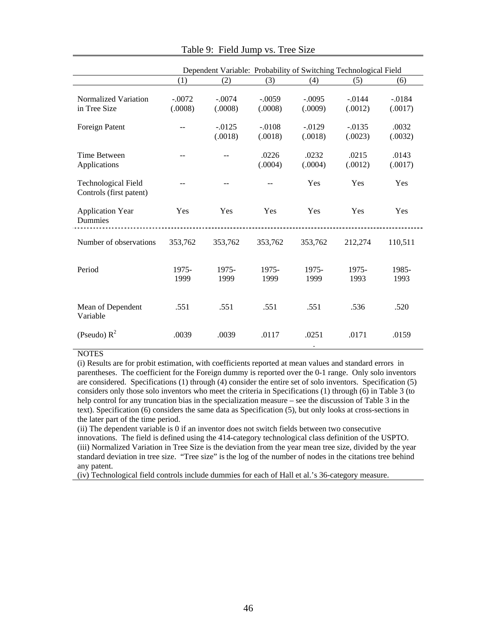|                                                       | Dependent Variable: Probability of Switching Technological Field |                      |                     |                      |                      |                      |  |  |  |
|-------------------------------------------------------|------------------------------------------------------------------|----------------------|---------------------|----------------------|----------------------|----------------------|--|--|--|
|                                                       | (1)                                                              | (2)                  | (3)                 | (4)                  | (5)                  | (6)                  |  |  |  |
| Normalized Variation<br>in Tree Size                  | $-.0072$<br>(.0008)                                              | $-.0074$<br>(.0008)  | $-.0059$<br>(.0008) | $-.0095$<br>(.0009)  | $-.0144$<br>(.0012)  | $-0.0184$<br>(.0017) |  |  |  |
| Foreign Patent                                        | $-$                                                              | $-0.0125$<br>(.0018) | $-.0108$<br>(.0018) | $-0.0129$<br>(.0018) | $-0.0135$<br>(.0023) | .0032<br>(.0032)     |  |  |  |
| Time Between<br>Applications                          |                                                                  |                      | .0226<br>(.0004)    | .0232<br>(.0004)     | .0215<br>(.0012)     | .0143<br>(.0017)     |  |  |  |
| <b>Technological Field</b><br>Controls (first patent) |                                                                  |                      |                     | Yes                  | Yes                  | Yes                  |  |  |  |
| <b>Application Year</b><br>Dummies                    | Yes                                                              | Yes                  | Yes                 | Yes                  | Yes                  | Yes                  |  |  |  |
| Number of observations                                | 353,762                                                          | 353,762              | 353,762             | 353,762              | 212,274              | 110,511              |  |  |  |
| Period                                                | 1975-<br>1999                                                    | 1975-<br>1999        | 1975-<br>1999       | 1975-<br>1999        | 1975-<br>1993        | 1985-<br>1993        |  |  |  |
| Mean of Dependent<br>Variable                         | .551                                                             | .551                 | .551                | .551                 | .536                 | .520                 |  |  |  |
| (Pseudo) $R^2$                                        | .0039                                                            | .0039                | .0117               | .0251<br>$\bullet$   | .0171                | .0159                |  |  |  |

Table 9: Field Jump vs. Tree Size

(i) Results are for probit estimation, with coefficients reported at mean values and standard errors in parentheses. The coefficient for the Foreign dummy is reported over the 0-1 range. Only solo inventors are considered. Specifications (1) through (4) consider the entire set of solo inventors. Specification (5) considers only those solo inventors who meet the criteria in Specifications (1) through (6) in Table 3 (to help control for any truncation bias in the specialization measure – see the discussion of Table 3 in the text). Specification (6) considers the same data as Specification (5), but only looks at cross-sections in the later part of the time period.

(ii) The dependent variable is 0 if an inventor does not switch fields between two consecutive innovations. The field is defined using the 414-category technological class definition of the USPTO. (iii) Normalized Variation in Tree Size is the deviation from the year mean tree size, divided by the year standard deviation in tree size. "Tree size" is the log of the number of nodes in the citations tree behind any patent.

(iv) Technological field controls include dummies for each of Hall et al.'s 36-category measure.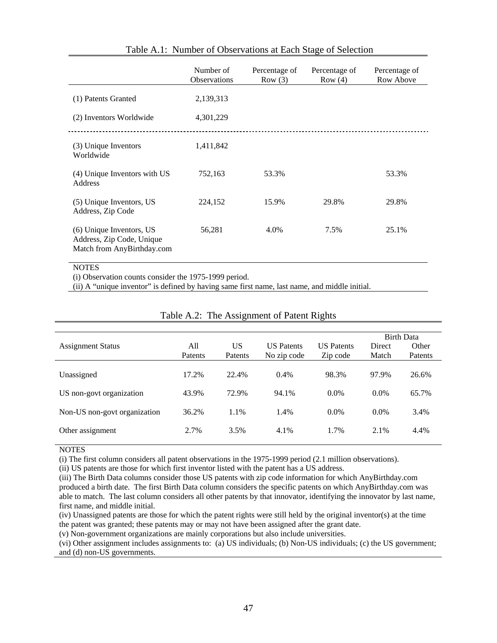|                                                                                     | Number of<br><b>Observations</b> | Percentage of<br>Row(3) | Percentage of<br>Row(4) | Percentage of<br>Row Above |
|-------------------------------------------------------------------------------------|----------------------------------|-------------------------|-------------------------|----------------------------|
| (1) Patents Granted                                                                 | 2,139,313                        |                         |                         |                            |
| (2) Inventors Worldwide                                                             | 4,301,229                        |                         |                         |                            |
| (3) Unique Inventors<br>Worldwide                                                   | 1,411,842                        |                         |                         |                            |
| (4) Unique Inventors with US<br>Address                                             | 752,163                          | 53.3%                   |                         | 53.3%                      |
| (5) Unique Inventors, US<br>Address, Zip Code                                       | 224,152                          | 15.9%                   | 29.8%                   | 29.8%                      |
| (6) Unique Inventors, US<br>Address, Zip Code, Unique<br>Match from AnyBirthday.com | 56,281                           | 4.0%                    | 7.5%                    | 25.1%                      |
| <b>NOTES</b>                                                                        |                                  |                         |                         |                            |

# Table A.1: Number of Observations at Each Stage of Selection

(i) Observation counts consider the 1975-1999 period.

(ii) A "unique inventor" is defined by having same first name, last name, and middle initial.

| <b>Assignment Status</b>     | All<br>Patents | US<br>Patents | <b>US</b> Patents<br>No zip code | <b>US</b> Patents<br>Zip code | Direct<br>Match | <b>Birth Data</b><br>Other<br>Patents |
|------------------------------|----------------|---------------|----------------------------------|-------------------------------|-----------------|---------------------------------------|
| Unassigned                   | 17.2%          | 22.4%         | 0.4%                             | 98.3%                         | 97.9%           | 26.6%                                 |
| US non-govt organization     | 43.9%          | 72.9%         | 94.1%                            | $0.0\%$                       | $0.0\%$         | 65.7%                                 |
| Non-US non-govt organization | 36.2%          | 1.1%          | 1.4%                             | $0.0\%$                       | $0.0\%$         | 3.4%                                  |
| Other assignment             | 2.7%           | 3.5%          | 4.1%                             | 1.7%                          | 2.1%            | 4.4%                                  |

# Table A.2: The Assignment of Patent Rights

**NOTES** 

(i) The first column considers all patent observations in the 1975-1999 period (2.1 million observations).

(ii) US patents are those for which first inventor listed with the patent has a US address.

(iii) The Birth Data columns consider those US patents with zip code information for which AnyBirthday.com produced a birth date. The first Birth Data column considers the specific patents on which AnyBirthday.com was able to match. The last column considers all other patents by that innovator, identifying the innovator by last name, first name, and middle initial.

(iv) Unassigned patents are those for which the patent rights were still held by the original inventor(s) at the time the patent was granted; these patents may or may not have been assigned after the grant date.

(v) Non-government organizations are mainly corporations but also include universities.

(vi) Other assignment includes assignments to: (a) US individuals; (b) Non-US individuals; (c) the US government; and (d) non-US governments.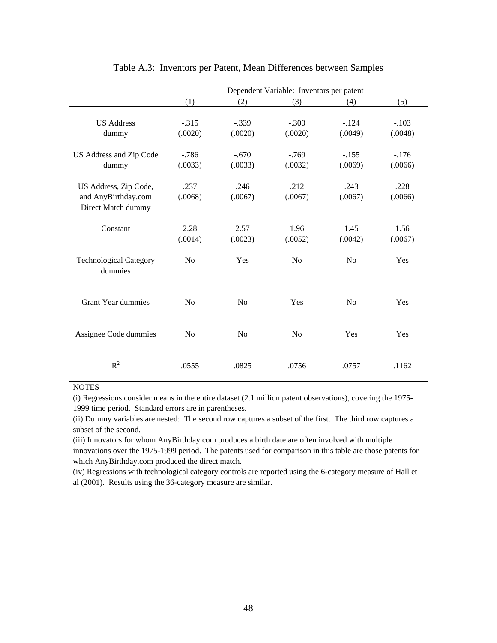|                                                                    | Dependent Variable: Inventors per patent |                    |                    |                    |                    |
|--------------------------------------------------------------------|------------------------------------------|--------------------|--------------------|--------------------|--------------------|
|                                                                    | (1)                                      | (2)                | (3)                | (4)                | (5)                |
| <b>US Address</b><br>dummy                                         | $-.315$<br>(.0020)                       | $-.339$<br>(.0020) | $-.300$<br>(.0020) | $-124$<br>(.0049)  | $-.103$<br>(.0048) |
| US Address and Zip Code<br>dummy                                   | $-786$<br>(.0033)                        | $-.670$<br>(.0033) | $-769$<br>(.0032)  | $-.155$<br>(.0069) | $-.176$<br>(.0066) |
| US Address, Zip Code,<br>and AnyBirthday.com<br>Direct Match dummy | .237<br>(.0068)                          | .246<br>(.0067)    | .212<br>(.0067)    | .243<br>(.0067)    | .228<br>(.0066)    |
| Constant                                                           | 2.28<br>(.0014)                          | 2.57<br>(.0023)    | 1.96<br>(.0052)    | 1.45<br>(.0042)    | 1.56<br>(.0067)    |
| <b>Technological Category</b><br>dummies                           | N <sub>0</sub>                           | Yes                | No                 | N <sub>0</sub>     | Yes                |
| <b>Grant Year dummies</b>                                          | N <sub>0</sub>                           | N <sub>0</sub>     | Yes                | No                 | Yes                |
| Assignee Code dummies                                              | N <sub>0</sub>                           | N <sub>0</sub>     | N <sub>0</sub>     | Yes                | Yes                |
| $R^2$                                                              | .0555                                    | .0825              | .0756              | .0757              | .1162              |

### Table A.3: Inventors per Patent, Mean Differences between Samples

**NOTES** 

(i) Regressions consider means in the entire dataset (2.1 million patent observations), covering the 1975- 1999 time period. Standard errors are in parentheses.

(ii) Dummy variables are nested: The second row captures a subset of the first. The third row captures a subset of the second.

(iii) Innovators for whom AnyBirthday.com produces a birth date are often involved with multiple innovations over the 1975-1999 period. The patents used for comparison in this table are those patents for which AnyBirthday.com produced the direct match.

(iv) Regressions with technological category controls are reported using the 6-category measure of Hall et al (2001). Results using the 36-category measure are similar.